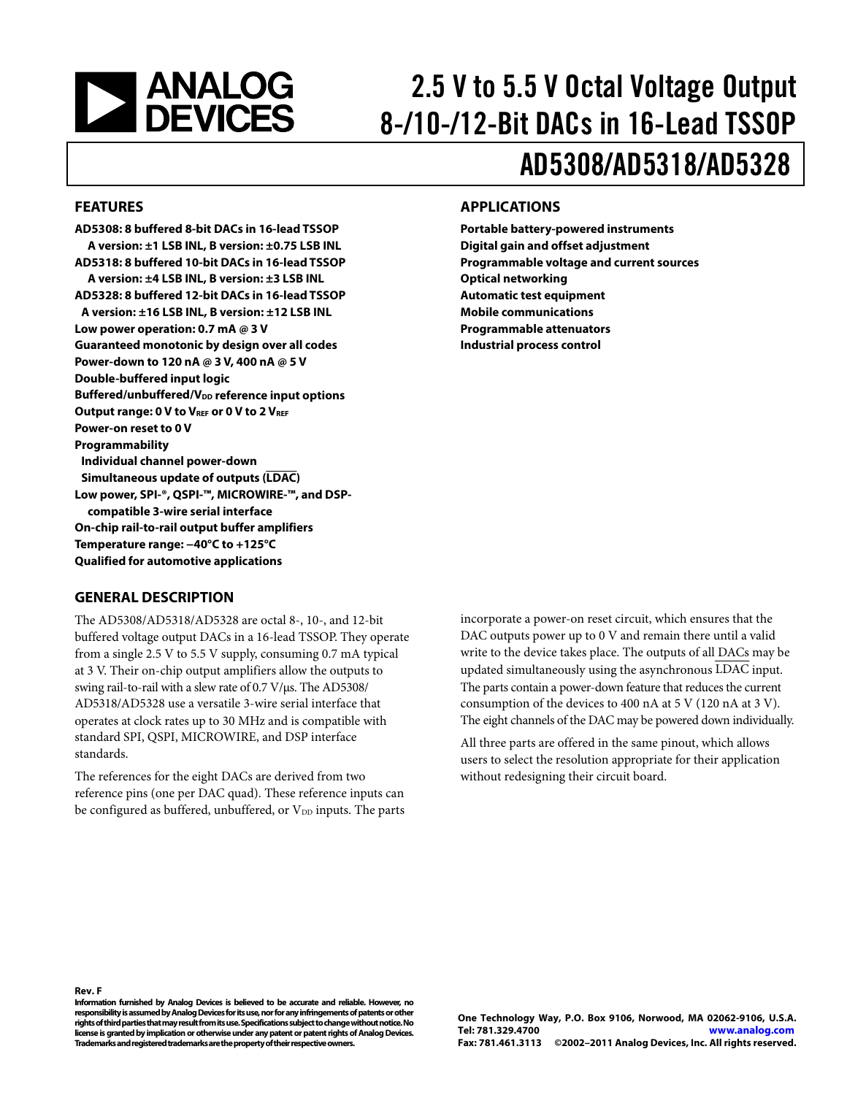# <span id="page-0-0"></span>**EXAMALOG**<br>DEVICES

# 2.5 V to 5.5 V Octal Voltage Output 8-/10-/12-Bit DACs in 16-Lead TSSOP

# AD5308/AD5318/AD5328

#### **FEATURES**

**AD5308: 8 buffered 8-bit DACs in 16-lead TSSOP A version: ±1 LSB INL, B version: ±0.75 LSB INL AD5318: 8 buffered 10-bit DACs in 16-lead TSSOP A version: ±4 LSB INL, B version: ±3 LSB INL AD5328: 8 buffered 12-bit DACs in 16-lead TSSOP A version: ±16 LSB INL, B version: ±12 LSB INL Low power operation: 0.7 mA @ 3 V Guaranteed monotonic by design over all codes Power-down to 120 nA @ 3 V, 400 nA @ 5 V Double-buffered input logic Buffered/unbuffered/V<sub>DD</sub> reference input options Output range: 0 V to VREF or 0 V to 2 VREF Power-on reset to 0 V Programmability Individual channel power-down Simultaneous update of outputs (LDAC) Low power, SPI-®, QSPI-™, MICROWIRE-™, and DSPcompatible 3-wire serial interface On-chip rail-to-rail output buffer amplifiers Temperature range: −40°C to +125°C Qualified for automotive applications** 

### **APPLICATIONS**

**Portable battery-powered instruments Digital gain and offset adjustment Programmable voltage and current sources Optical networking Automatic test equipment Mobile communications Programmable attenuators Industrial process control** 

#### **GENERAL DESCRIPTION**

The AD5308/AD5318/AD5328 are octal 8-, 10-, and 12-bit buffered voltage output DACs in a 16-lead TSSOP. They operate from a single 2.5 V to 5.5 V supply, consuming 0.7 mA typical at 3 V. Their on-chip output amplifiers allow the outputs to swing rail-to-rail with a slew rate of 0.7 V/μs. The AD5308/ AD5318/AD5328 use a versatile 3-wire serial interface that operates at clock rates up to 30 MHz and is compatible with standard SPI, QSPI, MICROWIRE, and DSP interface standards.

The references for the eight DACs are derived from two reference pins (one per DAC quad). These reference inputs can be configured as buffered, unbuffered, or  $V_{DD}$  inputs. The parts incorporate a power-on reset circuit, which ensures that the DAC outputs power up to 0 V and remain there until a valid write to the device takes place. The outputs of all DACs may be updated simultaneously using the asynchronous LDAC input. The parts contain a power-down feature that reduces the current consumption of the devices to 400 nA at 5 V (120 nA at 3 V). The eight channels of the DAC may be powered down individually.

All three parts are offered in the same pinout, which allows users to select the resolution appropriate for their application without redesigning their circuit board.

**Information furnished by Analog Devices is believed to be accurate and reliable. However, no** 

**Rev. F** 

**responsibility is assumed by Analog Devices for its use, nor for any infringements of patents or other rights of third parties that may result from its use. Specifications subject to change without notice. No license is granted by implication or otherwise under any patent or patent rights of Analog Devices. Trademarks and registered trademarks are the property of their respective owners.** 

**One Technology Way, P.O. Box 9106, Norwood, MA 02062-9106, U.S.A. Tel: 781.329.4700 www.analog.com Fax: 781.461.3113 ©2002–2011 Analog Devices, Inc. All rights reserved.**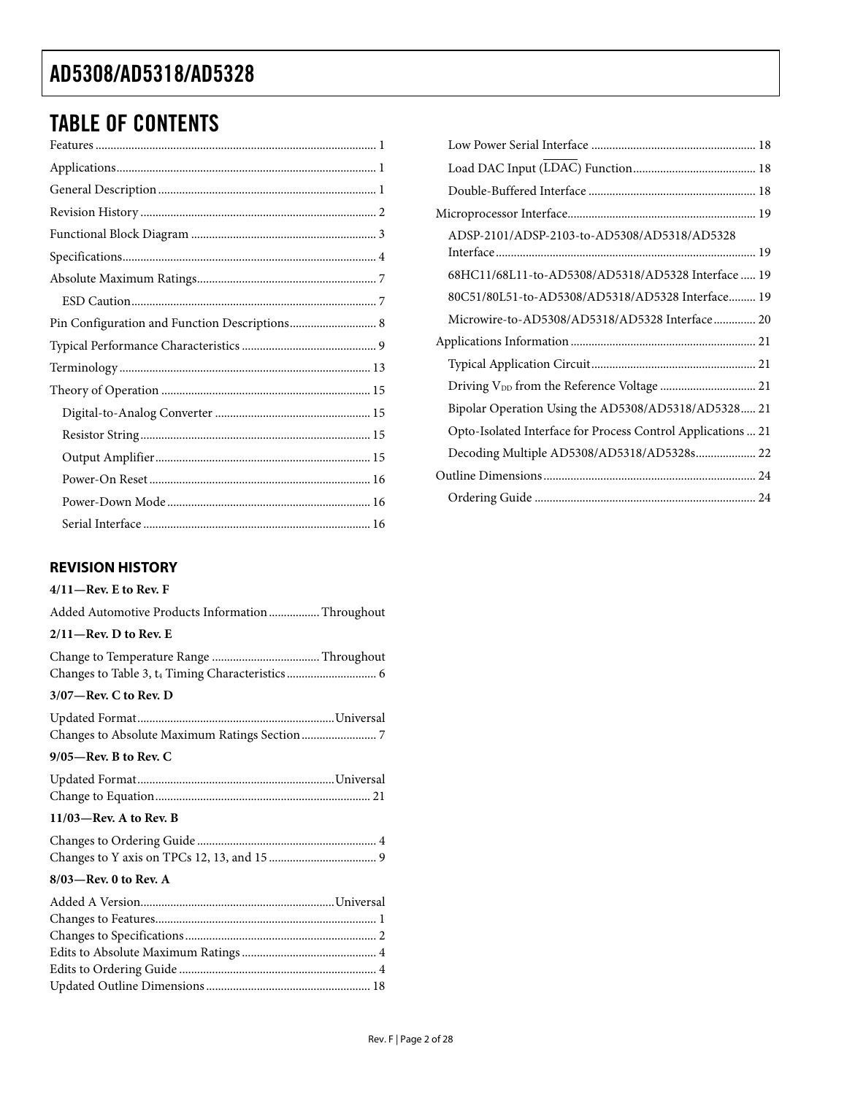### <span id="page-1-0"></span>TABLE OF CONTENTS

| Pin Configuration and Function Descriptions 8 |  |
|-----------------------------------------------|--|
|                                               |  |
|                                               |  |
|                                               |  |
|                                               |  |
|                                               |  |
|                                               |  |
|                                               |  |
|                                               |  |
|                                               |  |

#### **REVISION HISTORY**

### **4/11—Rev. E to Rev. F**

| Added Automotive Products Information  Throughout |
|---------------------------------------------------|
| $2/11$ -Rev. D to Rev. E                          |
|                                                   |
| 3/07—Rev. C to Rev. D                             |
|                                                   |
| 9/05—Rev. B to Rev. C                             |
|                                                   |
| 11/03-Rev. A to Rev. B                            |
|                                                   |
| 8/03—Rev. 0 to Rev. A                             |
|                                                   |
|                                                   |
|                                                   |

Updated Outline Dimensions ....................................................... 18

| ADSP-2101/ADSP-2103-to-AD5308/AD5318/AD5328                  |
|--------------------------------------------------------------|
| 68HC11/68L11-to-AD5308/AD5318/AD5328 Interface  19           |
| 80C51/80L51-to-AD5308/AD5318/AD5328 Interface 19             |
| Microwire-to-AD5308/AD5318/AD5328 Interface 20               |
|                                                              |
|                                                              |
| Driving V <sub>DD</sub> from the Reference Voltage  21       |
| Bipolar Operation Using the AD5308/AD5318/AD5328 21          |
| Opto-Isolated Interface for Process Control Applications  21 |
| Decoding Multiple AD5308/AD5318/AD5328s 22                   |
|                                                              |
|                                                              |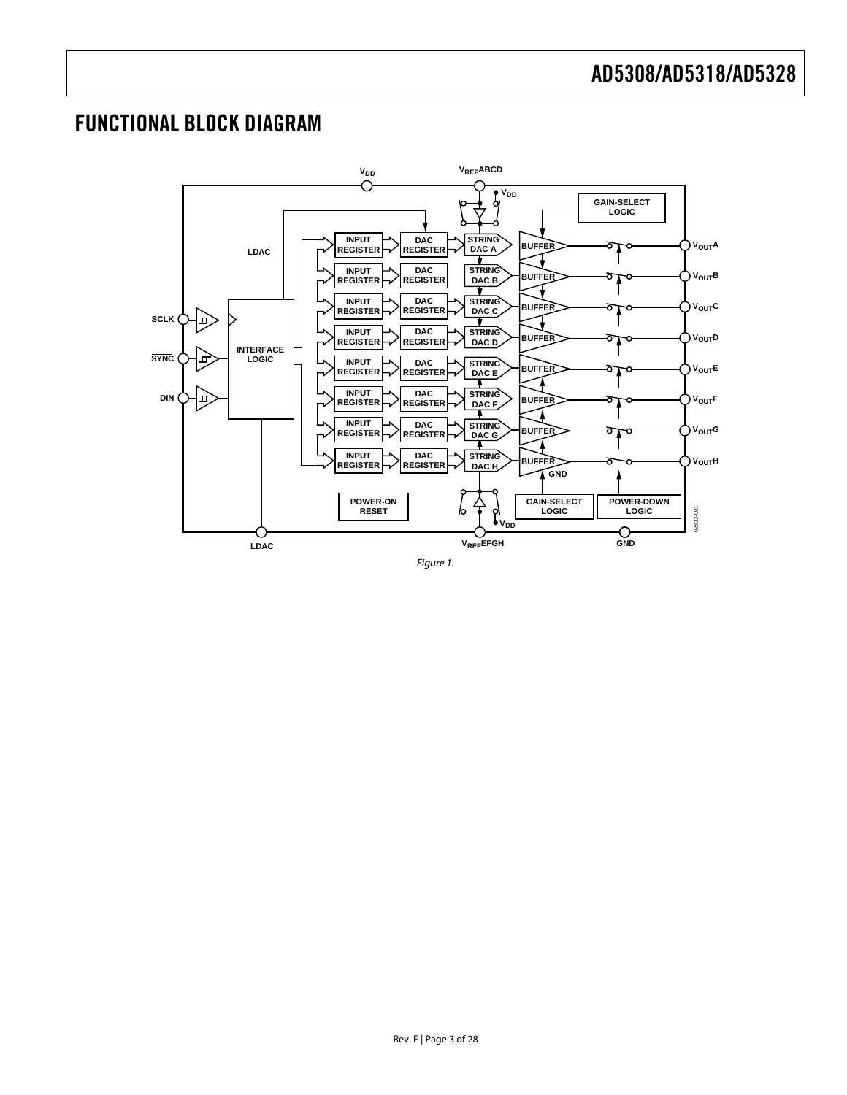### <span id="page-2-0"></span>FUNCTIONAL BLOCK DIAGRAM



Figure 1.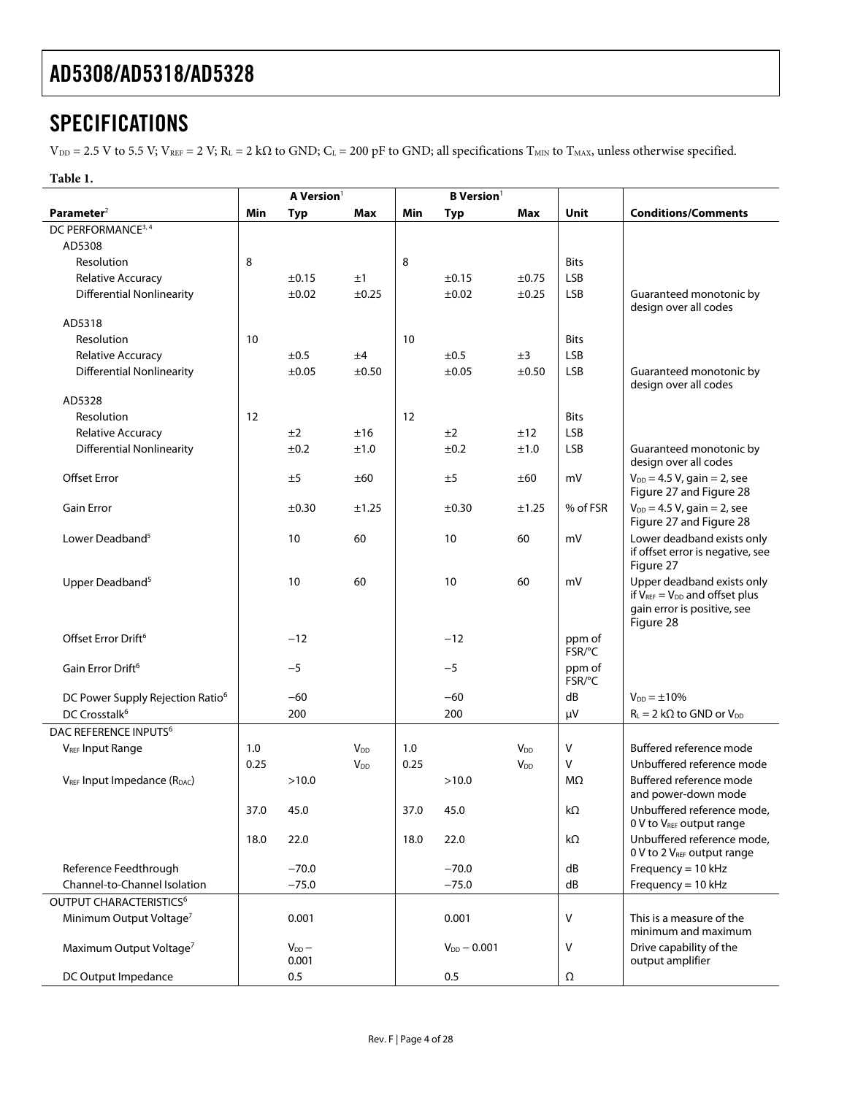### <span id="page-3-0"></span>**SPECIFICATIONS**

 $V_{DD} = 2.5$  V to 5.5 V;  $V_{REF} = 2$  V;  $R_L = 2$  k $\Omega$  to GND;  $C_L = 200$  pF to GND; all specifications  $T_{MIN}$  to  $T_{MAX}$ , unless otherwise specified.

#### **Table 1.**

<span id="page-3-4"></span><span id="page-3-3"></span><span id="page-3-2"></span><span id="page-3-1"></span>

|                                                       | A Version <sup>1</sup> |                     |                        |      | <b>B</b> Version <sup>1</sup> |                        |                   |                                                                                                                 |
|-------------------------------------------------------|------------------------|---------------------|------------------------|------|-------------------------------|------------------------|-------------------|-----------------------------------------------------------------------------------------------------------------|
| Parameter <sup>2</sup>                                | Min                    | Typ                 | Max                    | Min  | <b>Typ</b>                    | Max                    | <b>Unit</b>       | <b>Conditions/Comments</b>                                                                                      |
| DC PERFORMANCE <sup>3, 4</sup>                        |                        |                     |                        |      |                               |                        |                   |                                                                                                                 |
| AD5308                                                |                        |                     |                        |      |                               |                        |                   |                                                                                                                 |
| Resolution                                            | 8                      |                     |                        | 8    |                               |                        | <b>Bits</b>       |                                                                                                                 |
| <b>Relative Accuracy</b>                              |                        | ±0.15               | ±1                     |      | ±0.15                         | $\pm 0.75$             | <b>LSB</b>        |                                                                                                                 |
| <b>Differential Nonlinearity</b>                      |                        | ±0.02               | ±0.25                  |      | ±0.02                         | $\pm 0.25$             | LSB               | Guaranteed monotonic by                                                                                         |
|                                                       |                        |                     |                        |      |                               |                        |                   | design over all codes                                                                                           |
| AD5318                                                |                        |                     |                        |      |                               |                        |                   |                                                                                                                 |
| Resolution                                            | 10                     |                     |                        | 10   |                               |                        | <b>Bits</b>       |                                                                                                                 |
| Relative Accuracy<br><b>Differential Nonlinearity</b> |                        | ±0.5                | ±4                     |      | ±0.5                          | ±3                     | LSB<br><b>LSB</b> | Guaranteed monotonic by                                                                                         |
|                                                       |                        | $\pm 0.05$          | ±0.50                  |      | ±0.05                         | ±0.50                  |                   | design over all codes                                                                                           |
| AD5328                                                |                        |                     |                        |      |                               |                        |                   |                                                                                                                 |
| Resolution                                            | 12                     |                     |                        | 12   |                               |                        | <b>Bits</b>       |                                                                                                                 |
| Relative Accuracy                                     |                        | ±2                  | ±16                    |      | ±2                            | ±12                    | LSB               |                                                                                                                 |
| <b>Differential Nonlinearity</b>                      |                        | ±0.2                | ±1.0                   |      | ±0.2                          | ±1.0                   | LSB               | Guaranteed monotonic by                                                                                         |
|                                                       |                        |                     |                        |      |                               |                        |                   | design over all codes                                                                                           |
| <b>Offset Error</b>                                   |                        | ±5                  | ±60                    |      | ±5                            | ±60                    | mV                | $V_{DD} = 4.5 V$ , gain = 2, see<br>Figure 27 and Figure 28                                                     |
| <b>Gain Error</b>                                     |                        | ±0.30               | ±1.25                  |      | ±0.30                         | ±1.25                  | % of FSR          | $V_{DD} = 4.5 V$ , gain = 2, see<br>Figure 27 and Figure 28                                                     |
| Lower Deadband <sup>5</sup>                           |                        | 10                  | 60                     |      | 10                            | 60                     | mV                | Lower deadband exists only<br>if offset error is negative, see<br>Figure 27                                     |
| Upper Deadband <sup>5</sup>                           |                        | 10                  | 60                     |      | 10                            | 60                     | mV                | Upper deadband exists only<br>if $V_{REF} = V_{DD}$ and offset plus<br>gain error is positive, see<br>Figure 28 |
| Offset Error Drift <sup>6</sup>                       |                        | $-12$               |                        |      | $-12$                         |                        | ppm of<br>FSR/°C  |                                                                                                                 |
| Gain Error Drift <sup>6</sup>                         |                        | $-5$                |                        |      | $-5$                          |                        | ppm of<br>FSR/°C  |                                                                                                                 |
| DC Power Supply Rejection Ratio <sup>6</sup>          |                        | $-60$               |                        |      | $-60$                         |                        | dB                | $V_{DD} = \pm 10\%$                                                                                             |
| DC Crosstalk <sup>6</sup>                             |                        | 200                 |                        |      | 200                           |                        | μV                | $R_L = 2 k\Omega$ to GND or $V_{DD}$                                                                            |
| DAC REFERENCE INPUTS <sup>6</sup>                     |                        |                     |                        |      |                               |                        |                   |                                                                                                                 |
| <b>VREF Input Range</b>                               | 1.0                    |                     | <b>V</b> <sub>DD</sub> | 1.0  |                               | <b>V</b> <sub>DD</sub> | v                 | Buffered reference mode                                                                                         |
|                                                       | 0.25                   |                     | <b>V</b> <sub>DD</sub> | 0.25 |                               | <b>V</b> <sub>DD</sub> | V                 | Unbuffered reference mode                                                                                       |
| V <sub>REF</sub> Input Impedance (R <sub>DAC</sub> )  |                        | >10.0               |                        |      | >10.0                         |                        | MΩ                | Buffered reference mode<br>and power-down mode                                                                  |
|                                                       | 37.0                   | 45.0                |                        | 37.0 | 45.0                          |                        | kΩ                | Unbuffered reference mode,<br>0 V to V <sub>REF</sub> output range                                              |
|                                                       | 18.0                   | 22.0                |                        | 18.0 | 22.0                          |                        | kΩ                | Unbuffered reference mode,<br>0 V to 2 V <sub>REF</sub> output range                                            |
| Reference Feedthrough                                 |                        | $-70.0$             |                        |      | $-70.0$                       |                        | dB                | Frequency = $10$ kHz                                                                                            |
| Channel-to-Channel Isolation                          |                        | $-75.0$             |                        |      | $-75.0$                       |                        | dB                | Frequency = $10$ kHz                                                                                            |
| OUTPUT CHARACTERISTICS <sup>6</sup>                   |                        |                     |                        |      |                               |                        |                   |                                                                                                                 |
| Minimum Output Voltage <sup>7</sup>                   |                        | 0.001               |                        |      | 0.001                         |                        | V                 | This is a measure of the<br>minimum and maximum                                                                 |
| Maximum Output Voltage <sup>7</sup>                   |                        | $V_{DD}$ –<br>0.001 |                        |      | $V_{DD} - 0.001$              |                        | ٧                 | Drive capability of the<br>output amplifier                                                                     |
| DC Output Impedance                                   |                        | 0.5                 |                        |      | 0.5                           |                        | Ω                 |                                                                                                                 |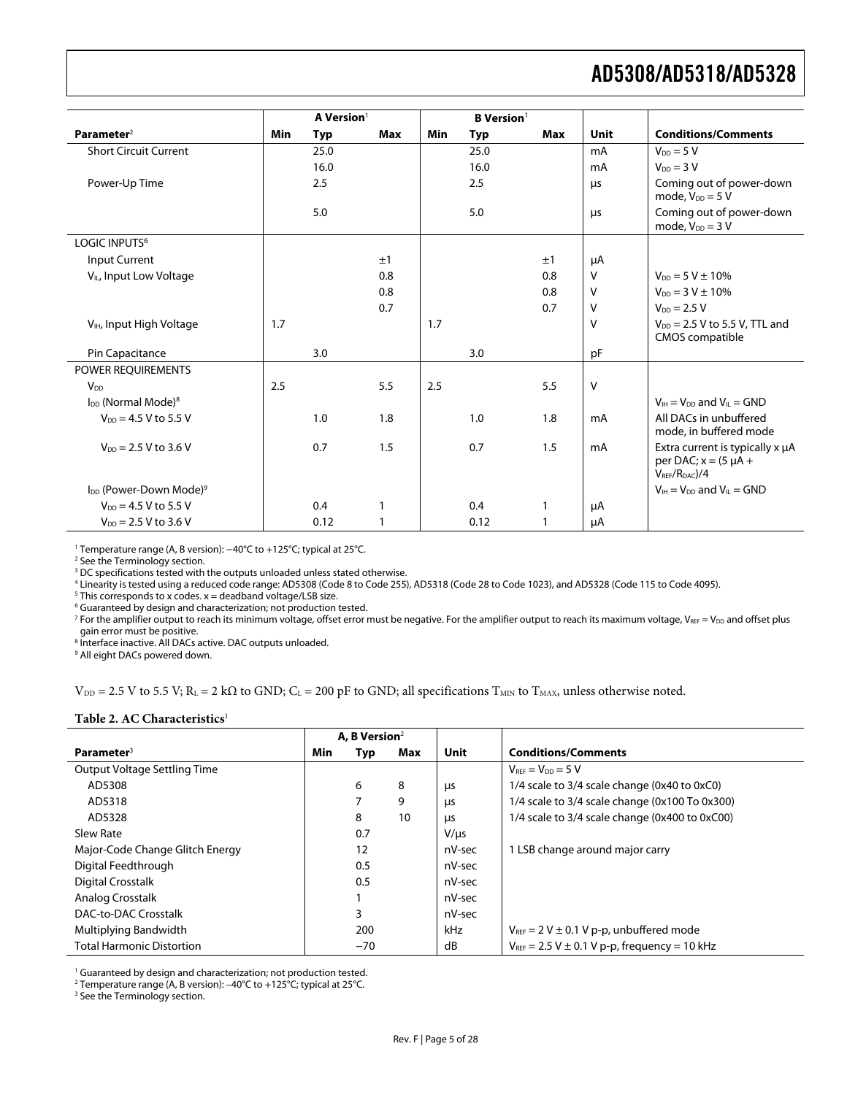<span id="page-4-0"></span>

|                                                |     | A Version <sup>1</sup> |     |     | <b>B</b> Version <sup>1</sup> |            |              |                                                                                      |
|------------------------------------------------|-----|------------------------|-----|-----|-------------------------------|------------|--------------|--------------------------------------------------------------------------------------|
| Parameter <sup>2</sup>                         | Min | <b>Typ</b>             | Max | Min | <b>Typ</b>                    | <b>Max</b> | Unit         | <b>Conditions/Comments</b>                                                           |
| <b>Short Circuit Current</b>                   |     | 25.0                   |     |     | 25.0                          |            | mA           | $V_{DD} = 5 V$                                                                       |
|                                                |     | 16.0                   |     |     | 16.0                          |            | mA           | $V_{DD} = 3 V$                                                                       |
| Power-Up Time                                  |     | 2.5                    |     |     | 2.5                           |            | μs           | Coming out of power-down<br>mode, $V_{DD} = 5 V$                                     |
|                                                |     | 5.0                    |     |     | 5.0                           |            | μs           | Coming out of power-down<br>mode, $V_{DD} = 3 V$                                     |
| LOGIC INPUTS <sup>6</sup>                      |     |                        |     |     |                               |            |              |                                                                                      |
| <b>Input Current</b>                           |     |                        | ±1  |     |                               | ±1         | μA           |                                                                                      |
| V <sub>IL</sub> , Input Low Voltage            |     |                        | 0.8 |     |                               | 0.8        | $\mathsf{V}$ | $V_{DD} = 5 V \pm 10\%$                                                              |
|                                                |     |                        | 0.8 |     |                               | 0.8        | v            | $V_{DD} = 3 V \pm 10\%$                                                              |
|                                                |     |                        | 0.7 |     |                               | 0.7        | v            | $V_{DD} = 2.5 V$                                                                     |
| V <sub>IH</sub> , Input High Voltage           | 1.7 |                        |     | 1.7 |                               |            | $\vee$       | $V_{DD}$ = 2.5 V to 5.5 V, TTL and<br><b>CMOS</b> compatible                         |
| Pin Capacitance                                |     | 3.0                    |     |     | 3.0                           |            | pF           |                                                                                      |
| POWER REQUIREMENTS                             |     |                        |     |     |                               |            |              |                                                                                      |
| $V_{DD}$                                       | 2.5 |                        | 5.5 | 2.5 |                               | 5.5        | $\vee$       |                                                                                      |
| I <sub>DD</sub> (Normal Mode) <sup>8</sup>     |     |                        |     |     |                               |            |              | $V_{\text{H}} = V_{\text{DD}}$ and $V_{\text{H}} = \text{GND}$                       |
| $V_{DD} = 4.5 V$ to 5.5 V                      |     | 1.0                    | 1.8 |     | 1.0                           | 1.8        | mA           | All DACs in unbuffered<br>mode, in buffered mode                                     |
| $V_{DD} = 2.5 V$ to 3.6 V                      |     | 0.7                    | 1.5 |     | 0.7                           | 1.5        | mA           | Extra current is typically x µA<br>per DAC; $x = (5 \mu A +$<br>$V_{RFF}/R_{DAC})/4$ |
| I <sub>DD</sub> (Power-Down Mode) <sup>9</sup> |     |                        |     |     |                               |            |              | $V_{\text{H}} = V_{\text{DD}}$ and $V_{\text{H}} = \text{GND}$                       |
| $V_{DD} = 4.5 V$ to 5.5 V                      |     | 0.4                    |     |     | 0.4                           | 1          | μA           |                                                                                      |
| $V_{DD} = 2.5 V$ to 3.6 V                      |     | 0.12                   |     |     | 0.12                          | 1          | μA           |                                                                                      |

<sup>1</sup> Temperature range (A, B version): −40°C to +125°C; typical at 25°C.<br><sup>2</sup> See the Terminology section

<sup>2</sup> See the Terminology section.

<sup>3</sup> DC specifications tested with the outputs unloaded unless stated otherwise.

<sup>4</sup> Linearity is tested using a reduced code range: AD5308 (Code 8 to Code 255), AD5318 (Code 28 to Code 1023), and AD5328 (Code 115 to Code 4095).<br><sup>5</sup> This corresponds to x codes, x – deadband voltage/LSB size

 $5$  This corresponds to x codes. x = deadband voltage/LSB size.

<sup>6</sup> Guaranteed by design and characterization; not production tested.

<sup>7</sup> For the amplifier output to reach its minimum voltage, offset error must be negative. For the amplifier output to reach its maximum voltage, V $_{\tt REF}}$  = V $_{\tt DD}$  and offset plus gain error must be positive.

<sup>8</sup> Interface inactive. All DACs active. DAC outputs unloaded.

9 All eight DACs powered down.

 $V_{DD}$  = 2.5 V to 5.5 V; R<sub>L</sub> = 2 kΩ to GND; C<sub>L</sub> = 200 pF to GND; all specifications T<sub>MIN</sub> to T<sub>MAX</sub>, unless otherwise noted.

#### **Table 2. AC Characteristics**[1](#page-27-3)

|                                  | A, B Version <sup>2</sup> |       |     |             |                                                       |
|----------------------------------|---------------------------|-------|-----|-------------|-------------------------------------------------------|
| Parameter <sup>3</sup>           | Min                       | Typ   | Max | <b>Unit</b> | <b>Conditions/Comments</b>                            |
| Output Voltage Settling Time     |                           |       |     |             | $V_{\text{RFF}} = V_{\text{DD}} = 5 V$                |
| AD5308                           |                           | 6     | 8   | μs          | 1/4 scale to 3/4 scale change (0x40 to 0xC0)          |
| AD5318                           |                           |       | 9   | <b>LIS</b>  | 1/4 scale to 3/4 scale change (0x100 To 0x300)        |
| AD5328                           |                           | 8     | 10  | μs          | 1/4 scale to 3/4 scale change (0x400 to 0xC00)        |
| Slew Rate                        |                           | 0.7   |     | $V/\mu s$   |                                                       |
| Major-Code Change Glitch Energy  |                           | 12    |     | nV-sec      | 1 LSB change around major carry                       |
| Digital Feedthrough              |                           | 0.5   |     | nV-sec      |                                                       |
| Digital Crosstalk                |                           | 0.5   |     | nV-sec      |                                                       |
| Analog Crosstalk                 |                           |       |     | nV-sec      |                                                       |
| DAC-to-DAC Crosstalk             |                           | 3     |     | nV-sec      |                                                       |
| Multiplying Bandwidth            |                           | 200   |     | kHz         | $V_{REF}$ = 2 V $\pm$ 0.1 V p-p, unbuffered mode      |
| <b>Total Harmonic Distortion</b> |                           | $-70$ |     | dB          | $V_{REF}$ = 2.5 V $\pm$ 0.1 V p-p, frequency = 10 kHz |

<sup>1</sup> Guaranteed by design and characterization; not production tested.

<sup>2</sup> Temperature range (A, B version): –40°C to +125°C; typical at 25°C.<br><sup>3</sup> See the Terminology section

<sup>3</sup> See the Terminology section.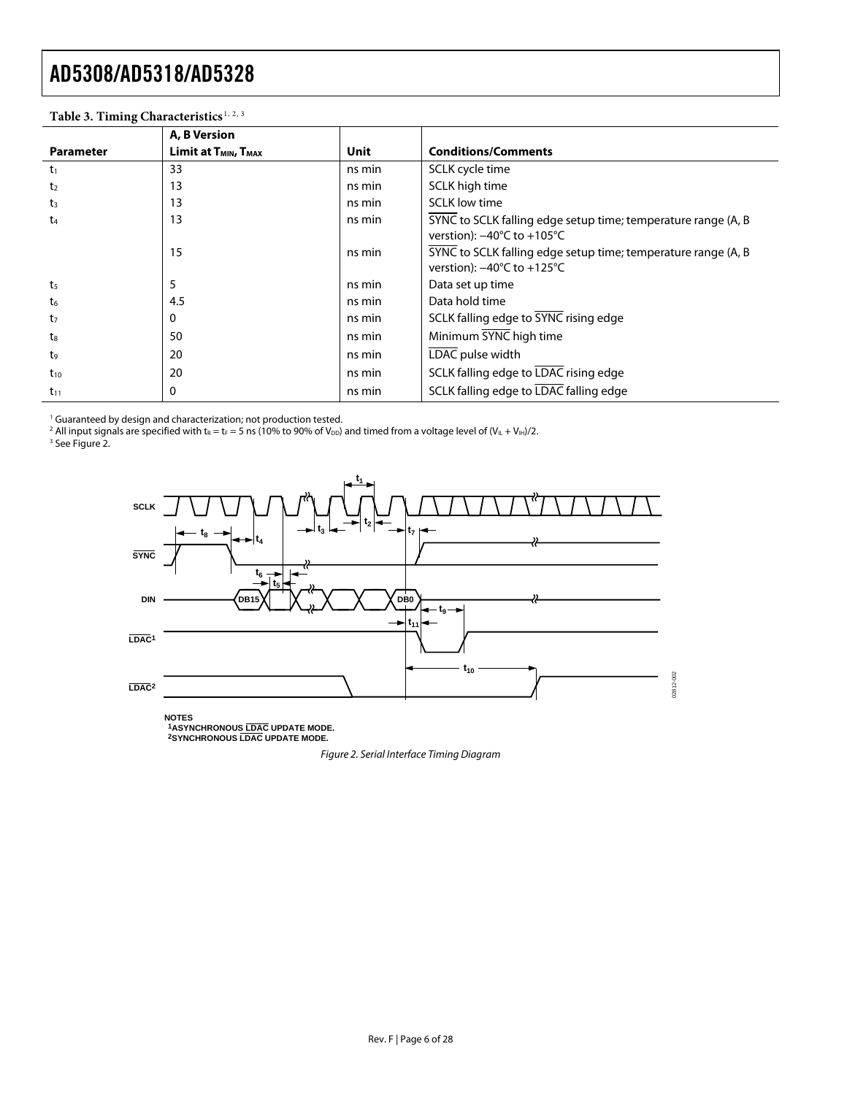| Table 5. Think Characteristics |                                              |        |                                                               |
|--------------------------------|----------------------------------------------|--------|---------------------------------------------------------------|
|                                | A, B Version                                 |        |                                                               |
| <b>Parameter</b>               | Limit at T <sub>MIN</sub> , T <sub>MAX</sub> | Unit   | <b>Conditions/Comments</b>                                    |
| $t_1$                          | 33                                           | ns min | SCLK cycle time                                               |
| t <sub>2</sub>                 | 13                                           | ns min | SCLK high time                                                |
| t <sub>3</sub>                 | 13                                           | ns min | <b>SCLK</b> low time                                          |
| $t_{4}$                        | 13                                           | ns min | SYNC to SCLK falling edge setup time; temperature range (A, B |
|                                |                                              |        | verstion): $-40^{\circ}$ C to $+105^{\circ}$ C                |
|                                | 15                                           | ns min | SYNC to SCLK falling edge setup time; temperature range (A, B |
|                                |                                              |        | verstion): $-40^{\circ}$ C to $+125^{\circ}$ C                |
| t <sub>5</sub>                 | 5                                            | ns min | Data set up time                                              |
| $t_6$                          | 4.5                                          | ns min | Data hold time                                                |
| t7                             | 0                                            | ns min | SCLK falling edge to SYNC rising edge                         |
| $t_{8}$                        | 50                                           | ns min | Minimum SYNC high time                                        |
| t9                             | 20                                           | ns min | LDAC pulse width                                              |
| $t_{10}$                       | 20                                           | ns min | SCLK falling edge to LDAC rising edge                         |
| $t_{11}$                       | 0                                            | ns min | SCLK falling edge to LDAC falling edge                        |

#### Table 3. Timing Characteristics<sup>[1](#page-27-6), [2](#page-27-7), [3](#page-27-8)</sup>

<sup>1</sup> Guaranteed by design and characterization; not production tested.<br><sup>2</sup> All input signals are specified with t<sub>R</sub> = t<sub>F</sub> = 5 ns (10% to 90% of V<sub>DD</sub>) and timed from a voltage level of (V<sub>IL</sub> + V<sub>IH</sub>)/2.<br><sup>3</sup> See Figure 2

<sup>3</sup> See Figure 2.



<span id="page-5-0"></span>**NOTES 1ASYNCHRONOUS LDAC UPDATE MODE. 2SYNCHRONOUS LDAC UPDATE MODE.**

Figure 2. Serial Interface Timing Diagram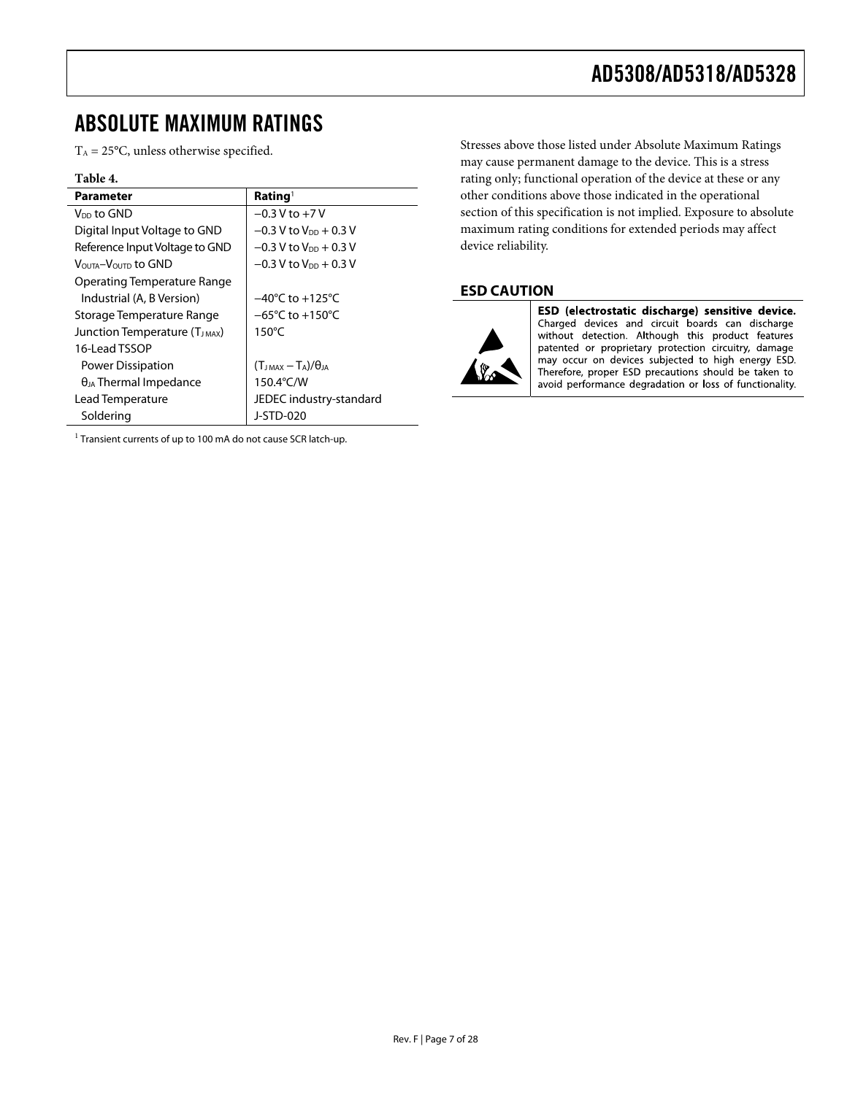### <span id="page-6-0"></span>ABSOLUTE MAXIMUM RATINGS

 $T_A = 25$ °C, unless otherwise specified.

#### **Table 4.**

| <b>Parameter</b>                   | Rating <sup>1</sup>                  |
|------------------------------------|--------------------------------------|
| V <sub>DD</sub> to GND             | $-0.3$ V to $+7$ V                   |
| Digital Input Voltage to GND       | $-0.3$ V to V <sub>DD</sub> $+0.3$ V |
| Reference Input Voltage to GND     | $-0.3$ V to V <sub>DD</sub> + 0.3 V  |
| VOUTA-VOUTD tO GND                 | $-0.3$ V to V <sub>DD</sub> + 0.3 V  |
| <b>Operating Temperature Range</b> |                                      |
| Industrial (A, B Version)          | $-40^{\circ}$ C to $+125^{\circ}$ C  |
| Storage Temperature Range          | $-65^{\circ}$ C to $+150^{\circ}$ C  |
| Junction Temperature (TJMAX)       | $150^{\circ}$ C                      |
| 16-Lead TSSOP                      |                                      |
| Power Dissipation                  | $(T_{JMAX} - T_A)/\theta_{JA}$       |
| $\theta_{JA}$ Thermal Impedance    | 150.4°C/W                            |
| Lead Temperature                   | JEDEC industry-standard              |
| Soldering                          | J-STD-020                            |

 $1$  Transient currents of up to 100 mA do not cause SCR latch-up.

Stresses above those listed under Absolute Maximum Ratings may cause permanent damage to the device. This is a stress rating only; functional operation of the device at these or any other conditions above those indicated in the operational section of this specification is not implied. Exposure to absolute maximum rating conditions for extended periods may affect device reliability.

#### **ESD CAUTION**



ESD (electrostatic discharge) sensitive device. Charged devices and circuit boards can discharge without detection. Although this product features patented or proprietary protection circuitry, damage may occur on devices subjected to high energy ESD. Therefore, proper ESD precautions should be taken to avoid performance degradation or loss of functionality.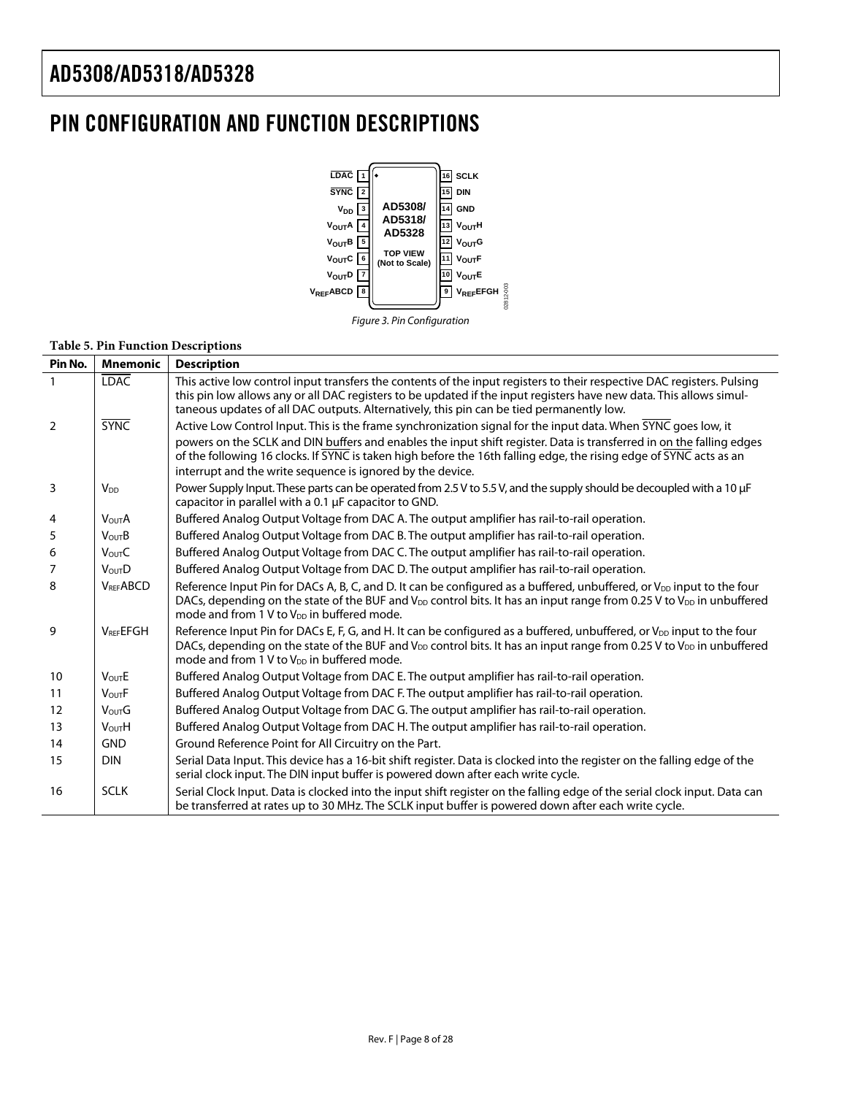### <span id="page-7-0"></span>PIN CONFIGURATION AND FUNCTION DESCRIPTIONS





#### **Table 5. Pin Function Descriptions**

| Pin No.        | <b>Mnemonic</b>    | <b>Description</b>                                                                                                                                                                                                                                                                                                                                                                                                        |
|----------------|--------------------|---------------------------------------------------------------------------------------------------------------------------------------------------------------------------------------------------------------------------------------------------------------------------------------------------------------------------------------------------------------------------------------------------------------------------|
| $\mathbf{1}$   | <b>LDAC</b>        | This active low control input transfers the contents of the input registers to their respective DAC registers. Pulsing<br>this pin low allows any or all DAC registers to be updated if the input registers have new data. This allows simul-<br>taneous updates of all DAC outputs. Alternatively, this pin can be tied permanently low.                                                                                 |
| $\overline{2}$ | <b>SYNC</b>        | Active Low Control Input. This is the frame synchronization signal for the input data. When SYNC goes low, it<br>powers on the SCLK and DIN buffers and enables the input shift register. Data is transferred in on the falling edges<br>of the following 16 clocks. If SYNC is taken high before the 16th falling edge, the rising edge of SYNC acts as an<br>interrupt and the write sequence is ignored by the device. |
| 3              | V <sub>DD</sub>    | Power Supply Input. These parts can be operated from 2.5 V to 5.5 V, and the supply should be decoupled with a 10 µF<br>capacitor in parallel with a 0.1 µF capacitor to GND.                                                                                                                                                                                                                                             |
| 4              | V <sub>OUT</sub> A | Buffered Analog Output Voltage from DAC A. The output amplifier has rail-to-rail operation.                                                                                                                                                                                                                                                                                                                               |
| 5              | <b>VoutB</b>       | Buffered Analog Output Voltage from DAC B. The output amplifier has rail-to-rail operation.                                                                                                                                                                                                                                                                                                                               |
| 6              | <b>VoutC</b>       | Buffered Analog Output Voltage from DAC C. The output amplifier has rail-to-rail operation.                                                                                                                                                                                                                                                                                                                               |
| $\overline{7}$ | <b>VOUTD</b>       | Buffered Analog Output Voltage from DAC D. The output amplifier has rail-to-rail operation.                                                                                                                                                                                                                                                                                                                               |
| 8              | <b>VREFABCD</b>    | Reference Input Pin for DACs A, B, C, and D. It can be configured as a buffered, unbuffered, or V <sub>DD</sub> input to the four<br>DACs, depending on the state of the BUF and $V_{DD}$ control bits. It has an input range from 0.25 V to $V_{DD}$ in unbuffered<br>mode and from 1 V to $V_{DD}$ in buffered mode.                                                                                                    |
| 9              | <b>VREEEFGH</b>    | Reference Input Pin for DACs E, F, G, and H. It can be configured as a buffered, unbuffered, or V <sub>DD</sub> input to the four<br>DACs, depending on the state of the BUF and V <sub>DD</sub> control bits. It has an input range from 0.25 V to V <sub>DD</sub> in unbuffered<br>mode and from 1 V to V <sub>DD</sub> in buffered mode.                                                                               |
| 10             | <b>VoutE</b>       | Buffered Analog Output Voltage from DAC E. The output amplifier has rail-to-rail operation.                                                                                                                                                                                                                                                                                                                               |
| 11             | <b>VoutF</b>       | Buffered Analog Output Voltage from DAC F. The output amplifier has rail-to-rail operation.                                                                                                                                                                                                                                                                                                                               |
| 12             | <b>VoutG</b>       | Buffered Analog Output Voltage from DAC G. The output amplifier has rail-to-rail operation.                                                                                                                                                                                                                                                                                                                               |
| 13             | VoutH              | Buffered Analog Output Voltage from DAC H. The output amplifier has rail-to-rail operation.                                                                                                                                                                                                                                                                                                                               |
| 14             | <b>GND</b>         | Ground Reference Point for All Circuitry on the Part.                                                                                                                                                                                                                                                                                                                                                                     |
| 15             | <b>DIN</b>         | Serial Data Input. This device has a 16-bit shift register. Data is clocked into the register on the falling edge of the<br>serial clock input. The DIN input buffer is powered down after each write cycle.                                                                                                                                                                                                              |
| 16             | <b>SCLK</b>        | Serial Clock Input. Data is clocked into the input shift register on the falling edge of the serial clock input. Data can<br>be transferred at rates up to 30 MHz. The SCLK input buffer is powered down after each write cycle.                                                                                                                                                                                          |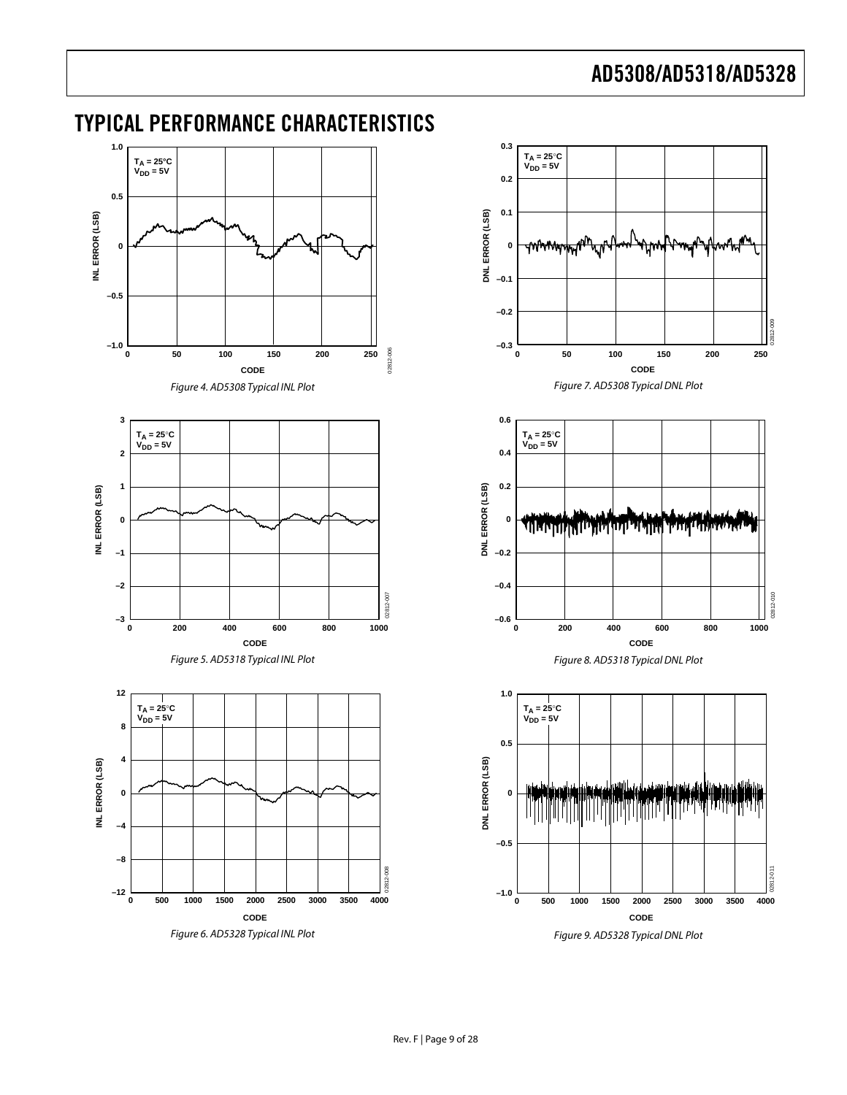02812-009

02812-010

0281

 $010$ 

<span id="page-8-3"></span>02812-011

<span id="page-8-5"></span><span id="page-8-4"></span><span id="page-8-2"></span><span id="page-8-1"></span>

### <span id="page-8-0"></span>TYPICAL PERFORMANCE CHARACTERISTICS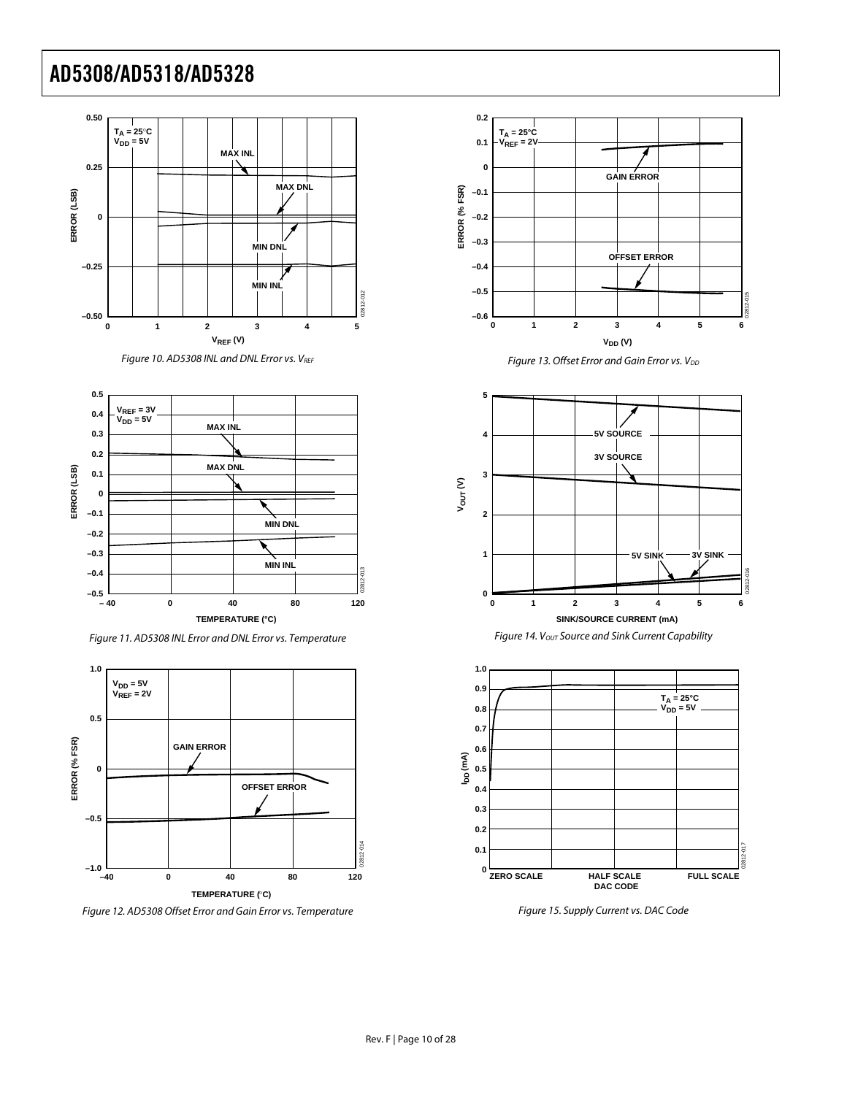





Figure 11. AD5308 INL Error and DNL Error vs. Temperature

<span id="page-9-0"></span>

Figure 12. AD5308 Offset Error and Gain Error vs. Temperature







Figure 15. Supply Current vs. DAC Code

**0.2 0.1**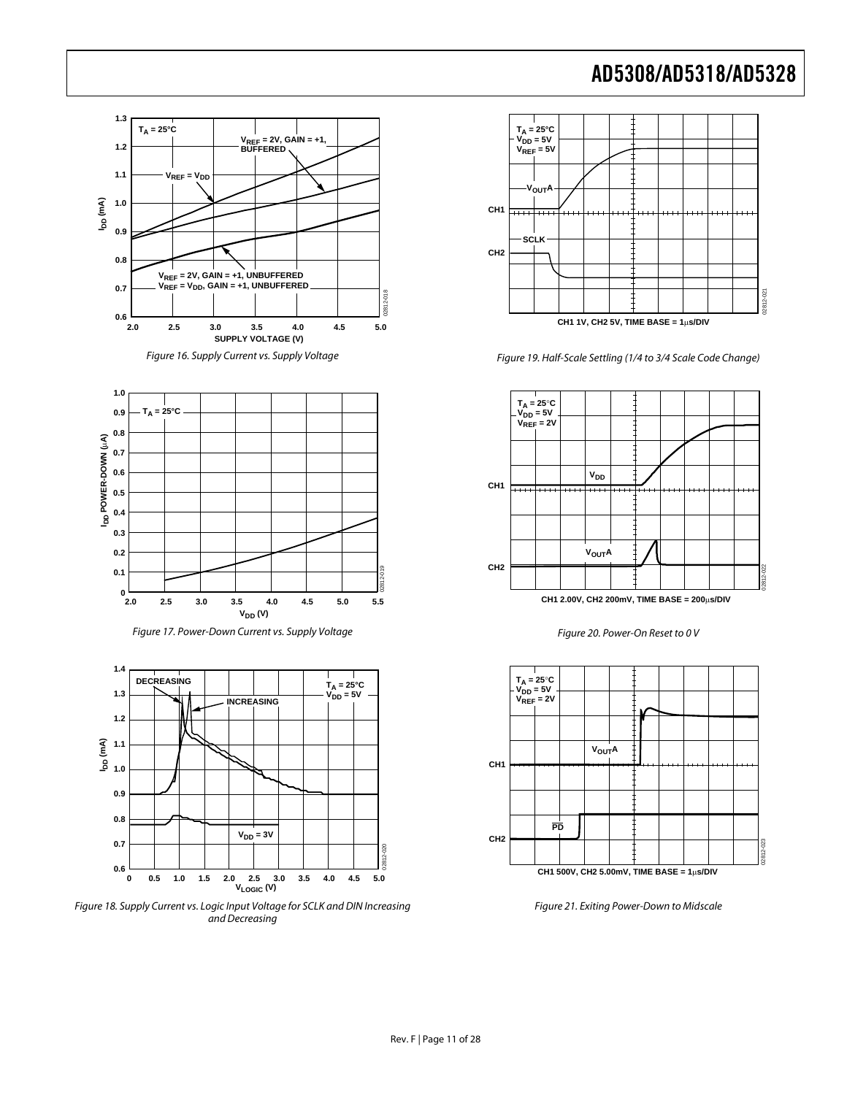







Figure 18. Supply Current vs. Logic Input Voltage for SCLK and DIN Increasing and Decreasing



Figure 19. Half-Scale Settling (1/4 to 3/4 Scale Code Change)



Figure 20. Power-On Reset to 0 V



Figure 21. Exiting Power-Down to Midscale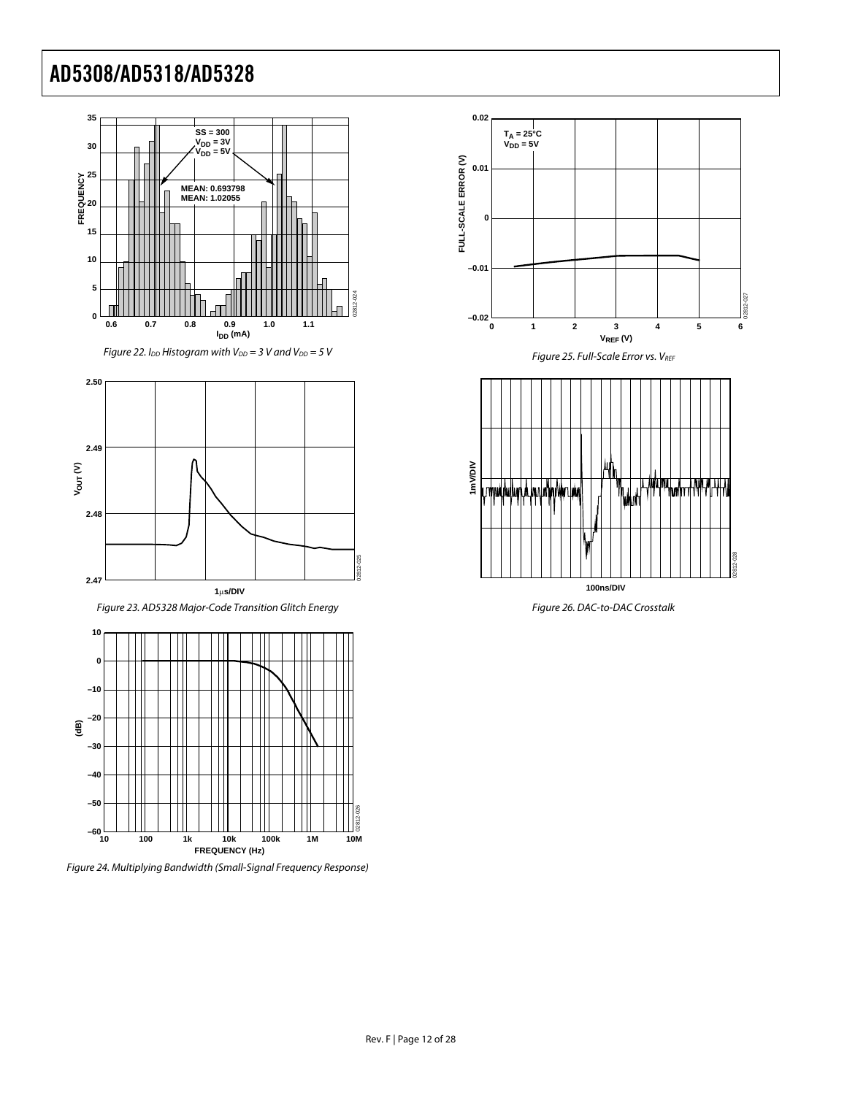

Figure 22. I<sub>DD</sub> Histogram with V<sub>DD</sub> = 3 V and V<sub>DD</sub> = 5 V Figure 25. Full-Scale Error vs. V<sub>REF</sub>



Figure 23. AD5328 Major-Code Transition Glitch Energy Figure 26. DAC-to-DAC Crosstalk



Figure 24. Multiplying Bandwidth (Small-Signal Frequency Response)





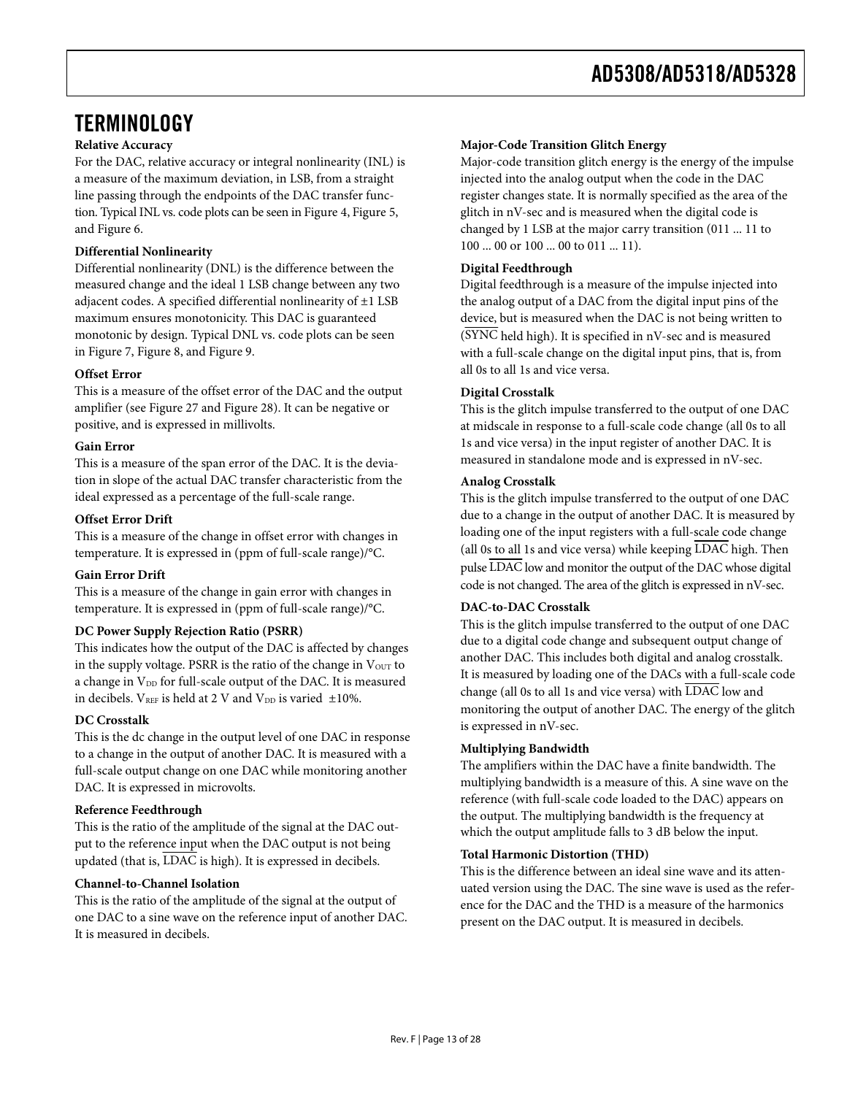### <span id="page-12-0"></span>**TERMINOLOGY**

#### **Relative Accuracy**

For the DAC, relative accuracy or integral nonlinearity (INL) is a measure of the maximum deviation, in LSB, from a straight line passing through the endpoints of the DAC transfer function. Typical INL vs. code plots can be seen in [Figure 4,](#page-8-1) [Figure 5,](#page-8-2) and [Figure 6](#page-8-3).

#### **Differential Nonlinearity**

Differential nonlinearity (DNL) is the difference between the measured change and the ideal 1 LSB change between any two adjacent codes. A specified differential nonlinearity of ±1 LSB maximum ensures monotonicity. This DAC is guaranteed monotonic by design. Typical DNL vs. code plots can be seen in [Figure 7,](#page-8-4) [Figure 8](#page-8-5), and [Figure 9](#page-8-3).

#### **Offset Error**

This is a measure of the offset error of the DAC and the output amplifier (see [Figure 27](#page-13-0) and [Figure 28](#page-13-1)). It can be negative or positive, and is expressed in millivolts.

#### **Gain Error**

This is a measure of the span error of the DAC. It is the deviation in slope of the actual DAC transfer characteristic from the ideal expressed as a percentage of the full-scale range.

#### **Offset Error Drift**

This is a measure of the change in offset error with changes in temperature. It is expressed in (ppm of full-scale range)/°C.

#### **Gain Error Drift**

This is a measure of the change in gain error with changes in temperature. It is expressed in (ppm of full-scale range)/°C.

#### **DC Power Supply Rejection Ratio (PSRR)**

This indicates how the output of the DAC is affected by changes in the supply voltage. PSRR is the ratio of the change in  $V<sub>OUT</sub>$  to a change in V<sub>DD</sub> for full-scale output of the DAC. It is measured in decibels.  $V_{REF}$  is held at 2 V and  $V_{DD}$  is varied  $\pm 10\%$ .

#### **DC Crosstalk**

This is the dc change in the output level of one DAC in response to a change in the output of another DAC. It is measured with a full-scale output change on one DAC while monitoring another DAC. It is expressed in microvolts.

#### **Reference Feedthrough**

This is the ratio of the amplitude of the signal at the DAC output to the reference input when the DAC output is not being updated (that is, LDAC is high). It is expressed in decibels.

#### **Channel-to-Channel Isolation**

This is the ratio of the amplitude of the signal at the output of one DAC to a sine wave on the reference input of another DAC. It is measured in decibels.

#### **Major-Code Transition Glitch Energy**

Major-code transition glitch energy is the energy of the impulse injected into the analog output when the code in the DAC register changes state. It is normally specified as the area of the glitch in nV-sec and is measured when the digital code is changed by 1 LSB at the major carry transition (011 ... 11 to 100 ... 00 or 100 ... 00 to 011 ... 11).

#### **Digital Feedthrough**

Digital feedthrough is a measure of the impulse injected into the analog output of a DAC from the digital input pins of the device, but is measured when the DAC is not being written to (SYNC held high). It is specified in nV-sec and is measured with a full-scale change on the digital input pins, that is, from all 0s to all 1s and vice versa.

#### **Digital Crosstalk**

This is the glitch impulse transferred to the output of one DAC at midscale in response to a full-scale code change (all 0s to all 1s and vice versa) in the input register of another DAC. It is measured in standalone mode and is expressed in nV-sec.

#### **Analog Crosstalk**

This is the glitch impulse transferred to the output of one DAC due to a change in the output of another DAC. It is measured by loading one of the input registers with a full-scale code change (all 0s to all 1s and vice versa) while keeping  $\overline{\text{LDAC}}$  high. Then pulse LDAC low and monitor the output of the DAC whose digital code is not changed. The area of the glitch is expressed in nV-sec.

#### **DAC-to-DAC Crosstalk**

This is the glitch impulse transferred to the output of one DAC due to a digital code change and subsequent output change of another DAC. This includes both digital and analog crosstalk. It is measured by loading one of the DACs with a full-scale code change (all 0s to all 1s and vice versa) with LDAC low and monitoring the output of another DAC. The energy of the glitch is expressed in nV-sec.

#### **Multiplying Bandwidth**

The amplifiers within the DAC have a finite bandwidth. The multiplying bandwidth is a measure of this. A sine wave on the reference (with full-scale code loaded to the DAC) appears on the output. The multiplying bandwidth is the frequency at which the output amplitude falls to 3 dB below the input.

#### **Total Harmonic Distortion (THD)**

This is the difference between an ideal sine wave and its attenuated version using the DAC. The sine wave is used as the reference for the DAC and the THD is a measure of the harmonics present on the DAC output. It is measured in decibels.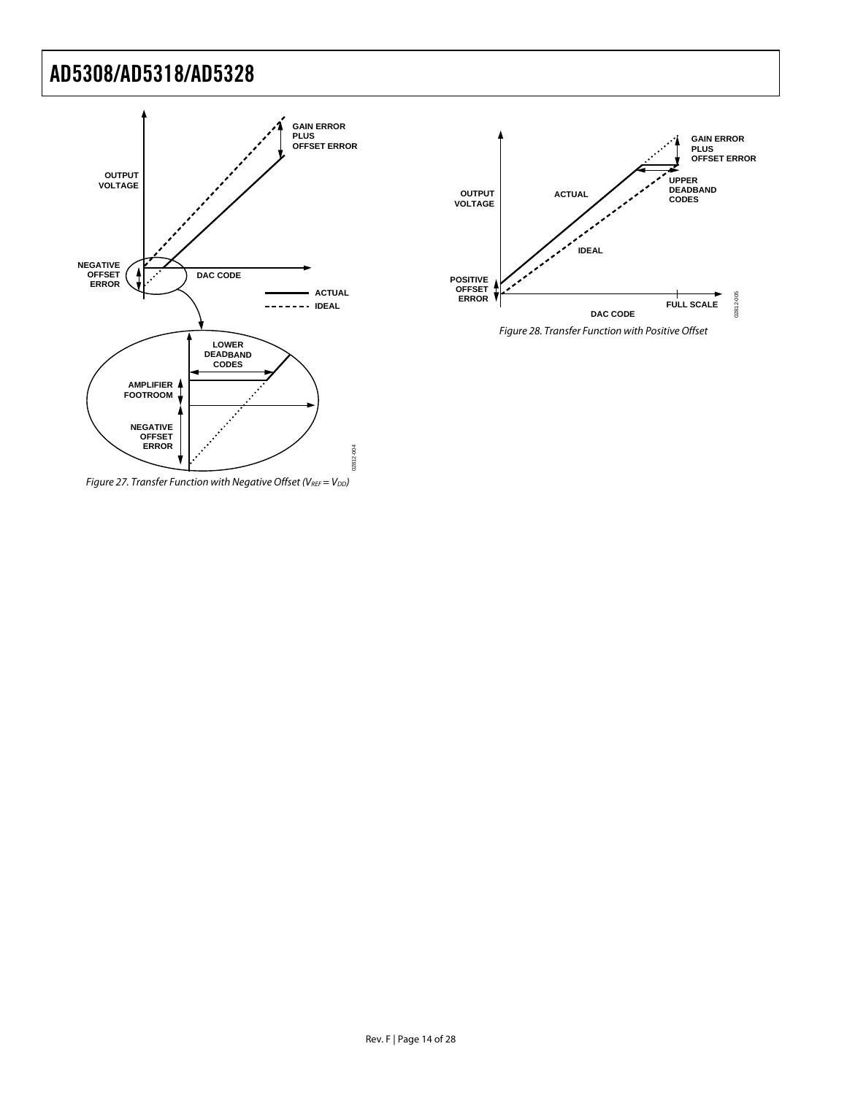



Figure 28. Transfer Function with Positive Offset

<span id="page-13-1"></span><span id="page-13-0"></span>Figure 27. Transfer Function with Negative Offset (VREF =  $V_{DD}$ )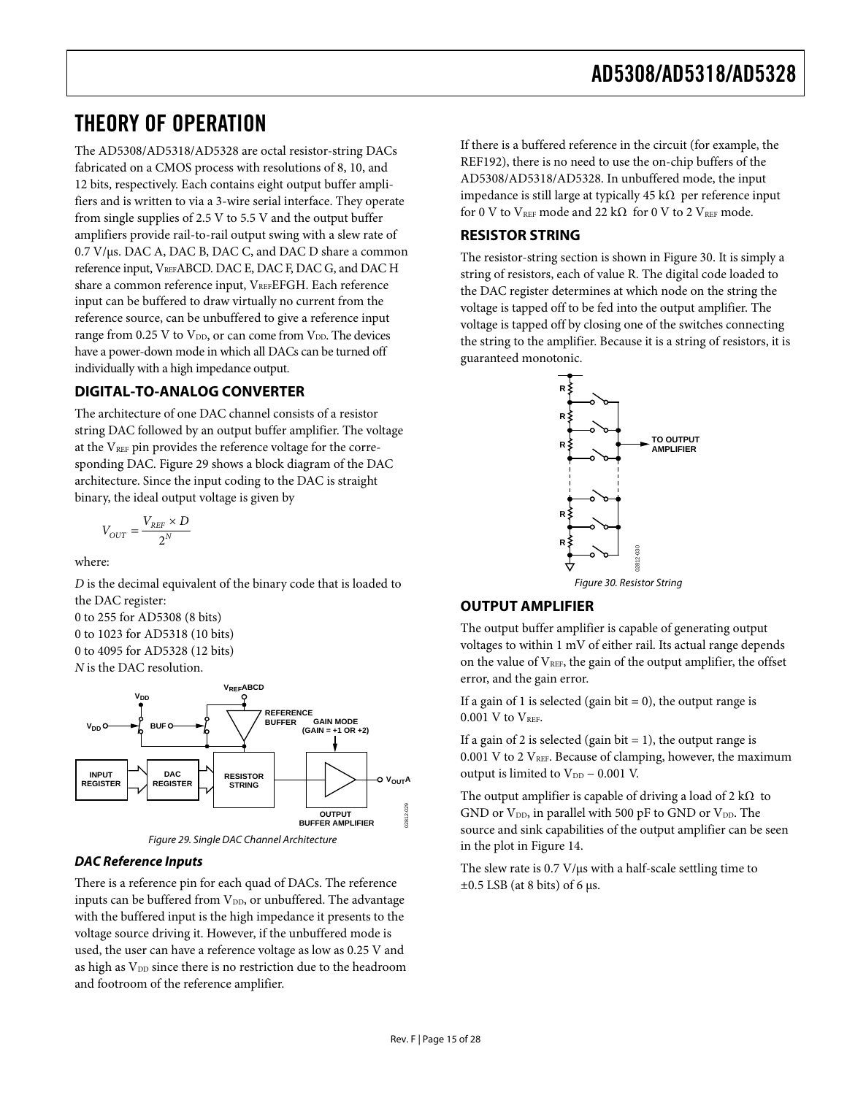### <span id="page-14-0"></span>THEORY OF OPERATION

The AD5308/AD5318/AD5328 are octal resistor-string DACs fabricated on a CMOS process with resolutions of 8, 10, and 12 bits, respectively. Each contains eight output buffer amplifiers and is written to via a 3-wire serial interface. They operate from single supplies of 2.5 V to 5.5 V and the output buffer amplifiers provide rail-to-rail output swing with a slew rate of 0.7 V/μs. DAC A, DAC B, DAC C, and DAC D share a common reference input, VREFABCD. DAC E, DAC F, DAC G, and DAC H share a common reference input, VREFEFGH. Each reference input can be buffered to draw virtually no current from the reference source, can be unbuffered to give a reference input range from  $0.25$  V to  $V_{DD}$ , or can come from  $V_{DD}$ . The devices have a power-down mode in which all DACs can be turned off individually with a high impedance output.

#### **DIGITAL-TO-ANALOG CONVERTER**

The architecture of one DAC channel consists of a resistor string DAC followed by an output buffer amplifier. The voltage at the V<sub>REF</sub> pin provides the reference voltage for the corresponding DAC. [Figure 29](#page-14-1) shows a block diagram of the DAC architecture. Since the input coding to the DAC is straight binary, the ideal output voltage is given by

$$
V_{OUT} = \frac{V_{REF} \times D}{2^N}
$$

where:

<span id="page-14-2"></span>*D* is the decimal equivalent of the binary code that is loaded to the DAC register:

0 to 255 for AD5308 (8 bits) 0 to 1023 for AD5318 (10 bits) 0 to 4095 for AD5328 (12 bits) *N* is the DAC resolution.



Figure 29. Single DAC Channel Architecture

#### <span id="page-14-1"></span>**DAC Reference Inputs**

There is a reference pin for each quad of DACs. The reference inputs can be buffered from  $V_{DD}$ , or unbuffered. The advantage with the buffered input is the high impedance it presents to the voltage source driving it. However, if the unbuffered mode is used, the user can have a reference voltage as low as 0.25 V and as high as V<sub>DD</sub> since there is no restriction due to the headroom and footroom of the reference amplifier.

If there is a buffered reference in the circuit (for example, the REF192), there is no need to use the on-chip buffers of the AD5308/AD5318/AD5328. In unbuffered mode, the input impedance is still large at typically 45 kΩ per reference input for 0 V to  $V_{REF}$  mode and 22 k $\Omega$  for 0 V to 2  $V_{REF}$  mode.

#### **RESISTOR STRING**

The resistor-string section is shown in [Figure 30](#page-14-2). It is simply a string of resistors, each of value R. The digital code loaded to the DAC register determines at which node on the string the voltage is tapped off to be fed into the output amplifier. The voltage is tapped off by closing one of the switches connecting the string to the amplifier. Because it is a string of resistors, it is guaranteed monotonic.



### **OUTPUT AMPLIFIER**

The output buffer amplifier is capable of generating output voltages to within 1 mV of either rail. Its actual range depends on the value of VREF, the gain of the output amplifier, the offset error, and the gain error.

If a gain of 1 is selected (gain bit  $= 0$ ), the output range is  $0.001$  V to  $V<sub>REF</sub>$ .

If a gain of 2 is selected (gain bit  $= 1$ ), the output range is  $0.001$  V to 2  $V<sub>REF</sub>$ . Because of clamping, however, the maximum output is limited to  $V_{DD}$  – 0.001 V.

The output amplifier is capable of driving a load of 2 k $\Omega$  to GND or  $V_{DD}$ , in parallel with 500 pF to GND or  $V_{DD}$ . The source and sink capabilities of the output amplifier can be seen in the plot in [Figure 14.](#page-9-0)

The slew rate is 0.7 V/μs with a half-scale settling time to  $\pm 0.5$  LSB (at 8 bits) of 6 μs.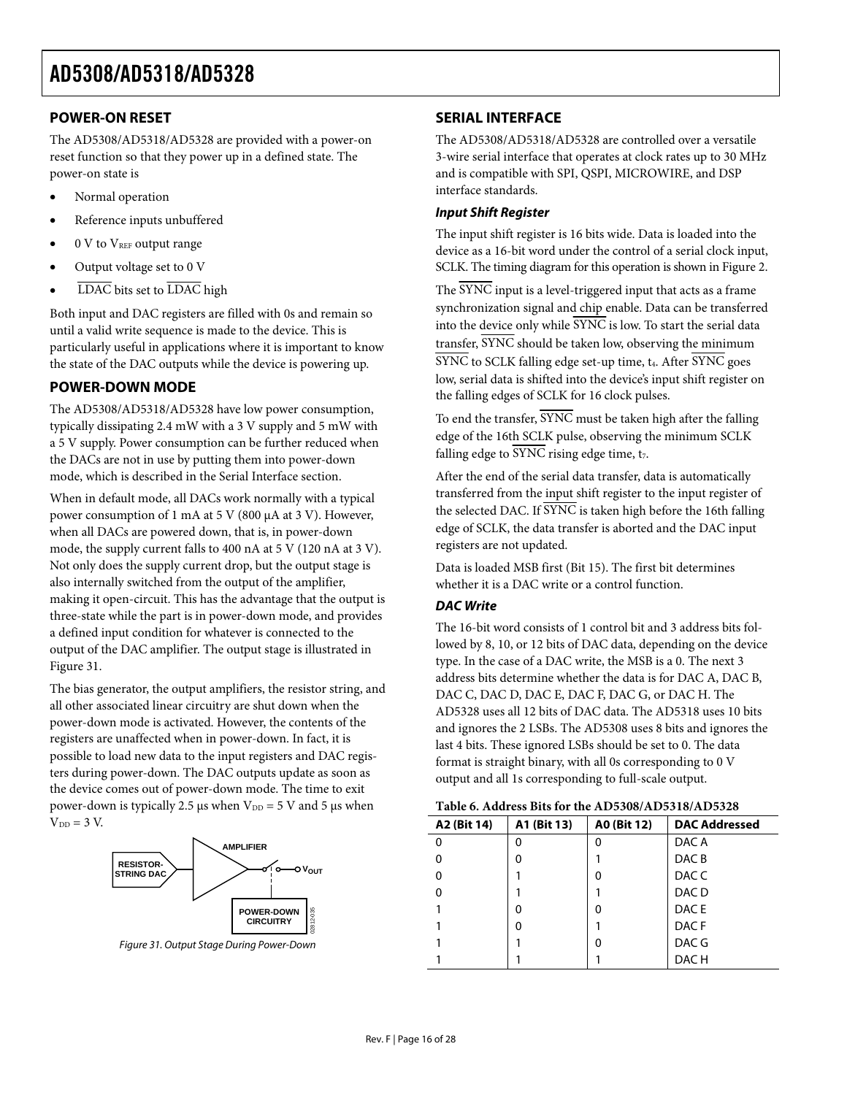#### <span id="page-15-1"></span><span id="page-15-0"></span>**POWER-ON RESET**

The AD5308/AD5318/AD5328 are provided with a power-on reset function so that they power up in a defined state. The power-on state is

- Normal operation
- Reference inputs unbuffered
- 0 V to V<sub>REF</sub> output range
- Output voltage set to 0 V
- LDAC bits set to LDAC high

Both input and DAC registers are filled with 0s and remain so until a valid write sequence is made to the device. This is particularly useful in applications where it is important to know the state of the DAC outputs while the device is powering up.

#### **POWER-DOWN MODE**

The AD5308/AD5318/AD5328 have low power consumption, typically dissipating 2.4 mW with a 3 V supply and 5 mW with a 5 V supply. Power consumption can be further reduced when the DACs are not in use by putting them into power-down mode, which is described in the [Serial Interface](#page-15-1) section.

When in default mode, all DACs work normally with a typical power consumption of 1 mA at 5 V (800 μA at 3 V). However, when all DACs are powered down, that is, in power-down mode, the supply current falls to 400 nA at 5 V (120 nA at 3 V). Not only does the supply current drop, but the output stage is also internally switched from the output of the amplifier, making it open-circuit. This has the advantage that the output is three-state while the part is in power-down mode, and provides a defined input condition for whatever is connected to the output of the DAC amplifier. The output stage is illustrated in [Figure 31](#page-15-2).

The bias generator, the output amplifiers, the resistor string, and all other associated linear circuitry are shut down when the power-down mode is activated. However, the contents of the registers are unaffected when in power-down. In fact, it is possible to load new data to the input registers and DAC registers during power-down. The DAC outputs update as soon as the device comes out of power-down mode. The time to exit power-down is typically 2.5 μs when  $V_{DD} = 5$  V and 5 μs when  $V_{DD} = 3 V$ .



<span id="page-15-2"></span>Figure 31. Output Stage During Power-Down

#### **SERIAL INTERFACE**

The AD5308/AD5318/AD5328 are controlled over a versatile 3-wire serial interface that operates at clock rates up to 30 MHz and is compatible with SPI, QSPI, MICROWIRE, and DSP interface standards.

#### **Input Shift Register**

The input shift register is 16 bits wide. Data is loaded into the device as a 16-bit word under the control of a serial clock input, SCLK. The timing diagram for this operation is shown in [Figure 2](#page-5-0).

The SYNC input is a level-triggered input that acts as a frame synchronization signal and chip enable. Data can be transferred into the device only while SYNC is low. To start the serial data transfer, SYNC should be taken low, observing the minimum  $\overline{\text{SYNC}}$  to SCLK falling edge set-up time,  $t_4$ . After  $\overline{\text{SYNC}}$  goes low, serial data is shifted into the device's input shift register on the falling edges of SCLK for 16 clock pulses.

To end the transfer, SYNC must be taken high after the falling edge of the 16th SCLK pulse, observing the minimum SCLK falling edge to SYNC rising edge time,  $t_7$ .

After the end of the serial data transfer, data is automatically transferred from the input shift register to the input register of the selected DAC. If  $\overline{\text{SYNC}}$  is taken high before the 16th falling edge of SCLK, the data transfer is aborted and the DAC input registers are not updated.

Data is loaded MSB first (Bit 15). The first bit determines whether it is a DAC write or a control function.

#### **DAC Write**

The 16-bit word consists of 1 control bit and 3 address bits followed by 8, 10, or 12 bits of DAC data, depending on the device type. In the case of a DAC write, the MSB is a 0. The next 3 address bits determine whether the data is for DAC A, DAC B, DAC C, DAC D, DAC E, DAC F, DAC G, or DAC H. The AD5328 uses all 12 bits of DAC data. The AD5318 uses 10 bits and ignores the 2 LSBs. The AD5308 uses 8 bits and ignores the last 4 bits. These ignored LSBs should be set to 0. The data format is straight binary, with all 0s corresponding to 0 V output and all 1s corresponding to full-scale output.

| Table 6. Address Bits for the AD5308/AD5318/AD5328 |             |             |                      |  |  |  |  |  |  |  |
|----------------------------------------------------|-------------|-------------|----------------------|--|--|--|--|--|--|--|
| A2 (Bit 14)                                        | A1 (Bit 13) | A0 (Bit 12) | <b>DAC Addressed</b> |  |  |  |  |  |  |  |
| 0                                                  | O           |             | DAC A                |  |  |  |  |  |  |  |
|                                                    | O           |             | DAC <sub>B</sub>     |  |  |  |  |  |  |  |
| 0                                                  |             | 0           | DAC C                |  |  |  |  |  |  |  |
| 0                                                  |             |             | DAC <sub>D</sub>     |  |  |  |  |  |  |  |
|                                                    | O           | ŋ           | DAC E                |  |  |  |  |  |  |  |
|                                                    | O           |             | DAC <sub>F</sub>     |  |  |  |  |  |  |  |
|                                                    |             | 0           | DAC G                |  |  |  |  |  |  |  |
|                                                    |             |             | DAC H                |  |  |  |  |  |  |  |

#### **Table 6. Address Bits for the AD5308/AD5318/AD5328**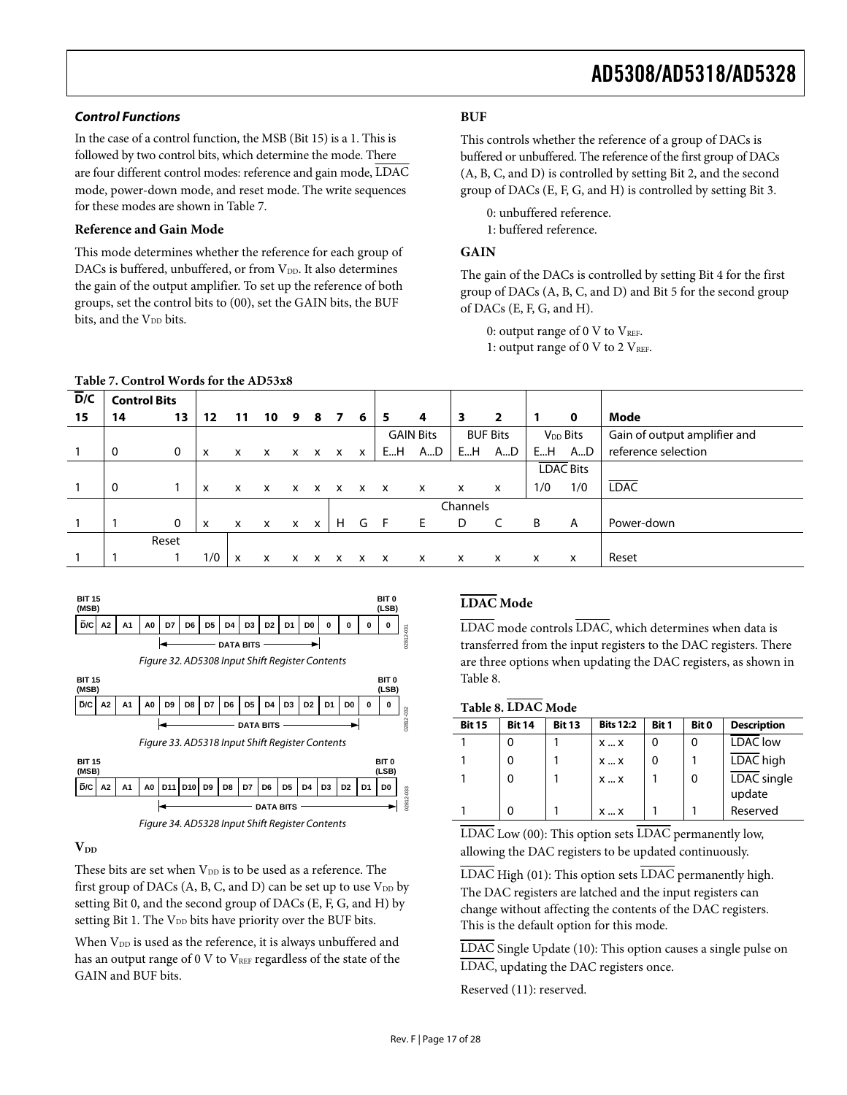#### **Control Functions** *BUF*

In the case of a control function, the MSB (Bit 15) is a 1. This is followed by two control bits, which determine the mode. There are four different control modes: reference and gain mode, LDAC mode, power-down mode, and reset mode. The write sequences for these modes are shown in [Table 7](#page-16-0).

#### **Reference and Gain Mode** 1: buffered reference.

This mode determines whether the reference for each group of **GAIN**  DACs is buffered, unbuffered, or from  $V_{DD}$ . It also determines the gain of the output amplifier. To set up the reference of both groups, set the control bits to (00), set the GAIN bits, the BUF bits, and the V<sub>DD</sub> bits.

#### **Table 7. Control Words for the AD53x8**

This controls whether the reference of a group of DACs is buffered or unbuffered. The reference of the first group of DACs (A, B, C, and D) is controlled by setting Bit 2, and the second group of DACs (E, F, G, and H) is controlled by setting Bit 3.

0: unbuffered reference.

The gain of the DACs is controlled by setting Bit 4 for the first group of DACs (A, B, C, and D) and Bit 5 for the second group of DACs (E, F, G, and H).

0: output range of 0 V to  $V_{REF}$ . 1: output range of 0 V to 2  $V_{REF}$ .

<span id="page-16-0"></span>

| D/C<br><b>Control Bits</b> |             |              |                           |                           |              |                           |              |   |              |                     |                  |                           |                 |             |                              |
|----------------------------|-------------|--------------|---------------------------|---------------------------|--------------|---------------------------|--------------|---|--------------|---------------------|------------------|---------------------------|-----------------|-------------|------------------------------|
| 14                         | 13          | 12           | 11                        | 10                        | 9            | 8                         | - 7          | 6 | 5            | 4                   | 3                | $\overline{\mathbf{2}}$   | -1              | $\mathbf 0$ | Mode                         |
|                            |             |              |                           |                           |              |                           |              |   |              |                     |                  |                           |                 |             | Gain of output amplifier and |
| 0                          | $\mathbf 0$ | x            | x                         | x                         | X            | $\mathsf{x}$              | $\mathsf{x}$ | x | EH           | AD                  | EH               | A…D                       | EH              | AD          | reference selection          |
|                            |             |              |                           |                           |              |                           |              |   |              |                     | <b>LDAC Bits</b> |                           |                 |             |                              |
| 0                          |             | $\mathsf{x}$ | $\mathsf{x}$              | $\mathsf{x}$              |              |                           |              |   |              | X                   | x                | $\boldsymbol{\mathsf{x}}$ | 1/0             | 1/0         | <b>LDAC</b>                  |
|                            |             |              |                           |                           |              |                           |              |   |              | Channels            |                  |                           |                 |             |                              |
|                            | 0           | $\mathsf{x}$ | $\boldsymbol{\mathsf{x}}$ | $\boldsymbol{\mathsf{x}}$ | $\mathsf{x}$ | $\boldsymbol{\mathsf{x}}$ | H            | G | F.           | E                   | D                |                           | B               | A           | Power-down                   |
|                            |             |              |                           |                           |              |                           |              |   |              |                     |                  |                           |                 |             |                              |
|                            |             | 1/0          | x                         | X                         | x            | x                         | x            | x | $\mathsf{x}$ | X                   | $\mathsf{x}$     | $\mathsf{x}$              | $\mathsf{x}$    | x           | Reset                        |
|                            |             | Reset        |                           |                           |              |                           |              |   |              | $X$ $X$ $X$ $X$ $X$ | <b>GAIN Bits</b> |                           | <b>BUF Bits</b> |             | V <sub>DD</sub> Bits         |





These bits are set when V<sub>DD</sub> is to be used as a reference. The first group of DACs  $(A, B, C, and D)$  can be set up to use  $V_{DD}$  by setting Bit 0, and the second group of DACs (E, F, G, and H) by setting Bit 1. The V<sub>DD</sub> bits have priority over the BUF bits.

When V<sub>DD</sub> is used as the reference, it is always unbuffered and has an output range of 0 V to VREF regardless of the state of the GAIN and BUF bits.

#### **LDAC Mode**

transferred from the input registers to the DAC registers. There are three options when updating the DAC registers, as shown in [Table 8](#page-16-1).

<span id="page-16-1"></span>

| <b>DATA BITS</b>                                                                                      | <b>Bit 15</b> | <b>Bit 14</b> | <b>Bit 13</b> | <b>Bits 12:2</b> | <b>Bit 1</b> | Bit 0 | <b>Description</b>    |
|-------------------------------------------------------------------------------------------------------|---------------|---------------|---------------|------------------|--------------|-------|-----------------------|
| Figure 33. AD5318 Input Shift Register Contents                                                       |               |               |               | XX               |              | 0     | <b>LDAC</b> low       |
| 31T 15<br><b>BIT 0</b>                                                                                |               |               |               | XX               |              |       | LDAC high             |
| <b>MSB)</b><br>(LSB)<br>D/C A2<br> D5  D4  D3  D2  D1  D0  <br>A0 D11 D10 D9 D8 D7 D6<br>$A^{\prime}$ |               |               |               | XX               |              |       | LDAC single<br>update |
| <b>DATA BITS</b><br>- - - - - - - - -<br>$- \cdot$                                                    |               |               |               | XX               |              |       | Reserved              |

Figure 34. AD5328 Input Shift Register Contents LDAC Low (00): This option sets LDAC permanently low, **V**<sub>DD</sub> allowing the DAC registers to be updated continuously.

> $\overline{\text{LDAC}}$  High (01): This option sets  $\overline{\text{LDAC}}$  permanently high. The DAC registers are latched and the input registers can change without affecting the contents of the DAC registers. This is the default option for this mode.

LDAC Single Update (10): This option causes a single pulse on LDAC, updating the DAC registers once.

Reserved (11): reserved.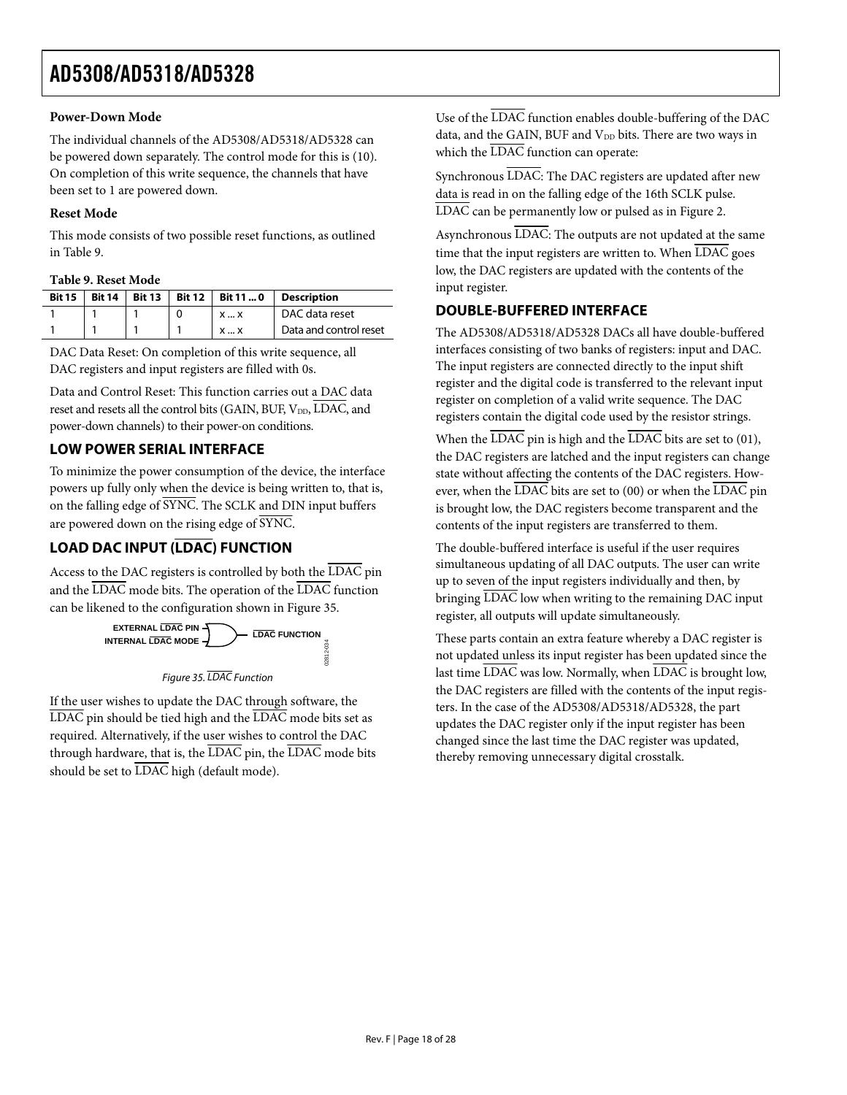#### <span id="page-17-0"></span>**Power-Down Mode**

The individual channels of the AD5308/AD5318/AD5328 can be powered down separately. The control mode for this is (10). On completion of this write sequence, the channels that have been set to 1 are powered down.

#### **Reset Mode**

This mode consists of two possible reset functions, as outlined in [Table 9](#page-17-1).

#### **Table 9. Reset Mode**

<span id="page-17-1"></span>

| <b>Bit 15</b> | <b>Bit 14</b> | <b>Bit 13</b> | <b>Bit 12</b> | Bit 11  0  | <b>Description</b>     |
|---------------|---------------|---------------|---------------|------------|------------------------|
|               |               |               |               | XX         | DAC data reset         |
|               |               |               |               | <b>X</b> X | Data and control reset |

DAC Data Reset: On completion of this write sequence, all DAC registers and input registers are filled with 0s.

Data and Control Reset: This function carries out a DAC data reset and resets all the control bits (GAIN, BUF, VDD, LDAC, and power-down channels) to their power-on conditions.

#### **LOW POWER SERIAL INTERFACE**

To minimize the power consumption of the device, the interface powers up fully only when the device is being written to, that is, on the falling edge of SYNC. The SCLK and DIN input buffers are powered down on the rising edge of SYNC.

### **LOAD DAC INPUT (LDAC) FUNCTION**

Access to the DAC registers is controlled by both the LDAC pin and the LDAC mode bits. The operation of the LDAC function can be likened to the configuration shown in [Figure 35](#page-17-2).



<span id="page-17-2"></span>If the user wishes to update the DAC through software, the  $\overline{\text{LDAC}}$  pin should be tied high and the  $\overline{\text{LDAC}}$  mode bits set as required. Alternatively, if the user wishes to control the DAC through hardware, that is, the LDAC pin, the LDAC mode bits should be set to  $\overline{\text{LDAC}}$  high (default mode).

Use of the LDAC function enables double-buffering of the DAC data, and the GAIN, BUF and  $V_{DD}$  bits. There are two ways in which the  $\overline{\text{LDAC}}$  function can operate:

Synchronous LDAC: The DAC registers are updated after new data is read in on the falling edge of the 16th SCLK pulse. LDAC can be permanently low or pulsed as in [Figure 2.](#page-5-0)

Asynchronous LDAC: The outputs are not updated at the same time that the input registers are written to. When  $\overline{\text{LDAC}}$  goes low, the DAC registers are updated with the contents of the input register.

#### **DOUBLE-BUFFERED INTERFACE**

The AD5308/AD5318/AD5328 DACs all have double-buffered interfaces consisting of two banks of registers: input and DAC. The input registers are connected directly to the input shift register and the digital code is transferred to the relevant input register on completion of a valid write sequence. The DAC registers contain the digital code used by the resistor strings.

When the  $\overline{\text{LDAC}}$  pin is high and the  $\overline{\text{LDAC}}$  bits are set to (01), the DAC registers are latched and the input registers can change state without affecting the contents of the DAC registers. However, when the LDAC bits are set to (00) or when the LDAC pin is brought low, the DAC registers become transparent and the contents of the input registers are transferred to them.

The double-buffered interface is useful if the user requires simultaneous updating of all DAC outputs. The user can write up to seven of the input registers individually and then, by bringing LDAC low when writing to the remaining DAC input register, all outputs will update simultaneously.

These parts contain an extra feature whereby a DAC register is not updated unless its input register has been updated since the last time LDAC was low. Normally, when LDAC is brought low, the DAC registers are filled with the contents of the input registers. In the case of the AD5308/AD5318/AD5328, the part updates the DAC register only if the input register has been changed since the last time the DAC register was updated, thereby removing unnecessary digital crosstalk.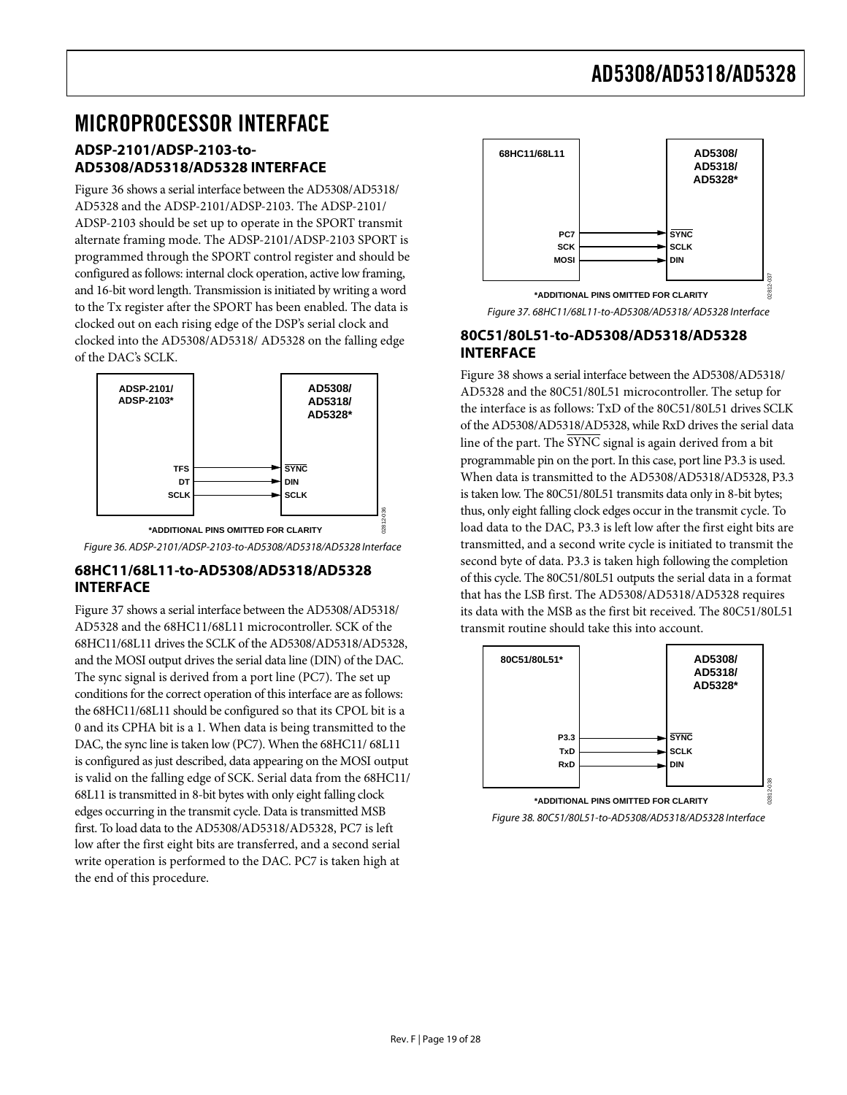### <span id="page-18-0"></span>MICROPROCESSOR INTERFACE

#### **ADSP-2101/ADSP-2103-to-AD5308/AD5318/AD5328 INTERFACE**

[Figure 36](#page-18-1) shows a serial interface between the AD5308/AD5318/ AD5328 and the ADSP-2101/ADSP-2103. The ADSP-2101/ ADSP-2103 should be set up to operate in the SPORT transmit alternate framing mode. The ADSP-2101/ADSP-2103 SPORT is programmed through the SPORT control register and should be configured as follows: internal clock operation, active low framing, and 16-bit word length. Transmission is initiated by writing a word to the Tx register after the SPORT has been enabled. The data is clocked out on each rising edge of the DSP's serial clock and clocked into the AD5308/AD5318/ AD5328 on the falling edge of the DAC's SCLK.

<span id="page-18-2"></span>

#### <span id="page-18-1"></span>**68HC11/68L11-to-AD5308/AD5318/AD5328 INTERFACE**

<span id="page-18-3"></span>[Figure 37](#page-18-2) shows a serial interface between the AD5308/AD5318/ AD5328 and the 68HC11/68L11 microcontroller. SCK of the 68HC11/68L11 drives the SCLK of the AD5308/AD5318/AD5328, and the MOSI output drives the serial data line (DIN) of the DAC. The sync signal is derived from a port line (PC7). The set up conditions for the correct operation of this interface are as follows: the 68HC11/68L11 should be configured so that its CPOL bit is a 0 and its CPHA bit is a 1. When data is being transmitted to the DAC, the sync line is taken low (PC7). When the 68HC11/ 68L11 is configured as just described, data appearing on the MOSI output is valid on the falling edge of SCK. Serial data from the 68HC11/ 68L11 is transmitted in 8-bit bytes with only eight falling clock edges occurring in the transmit cycle. Data is transmitted MSB first. To load data to the AD5308/AD5318/AD5328, PC7 is left low after the first eight bits are transferred, and a second serial write operation is performed to the DAC. PC7 is taken high at the end of this procedure.



Figure 37. 68HC11/68L11-to-AD5308/AD5318/ AD5328 Interface

#### **80C51/80L51-to-AD5308/AD5318/AD5328 INTERFACE**

[Figure 38](#page-18-3) shows a serial interface between the AD5308/AD5318/ AD5328 and the 80C51/80L51 microcontroller. The setup for the interface is as follows: TxD of the 80C51/80L51 drives SCLK of the AD5308/AD5318/AD5328, while RxD drives the serial data line of the part. The SYNC signal is again derived from a bit programmable pin on the port. In this case, port line P3.3 is used. When data is transmitted to the AD5308/AD5318/AD5328, P3.3 is taken low. The 80C51/80L51 transmits data only in 8-bit bytes; thus, only eight falling clock edges occur in the transmit cycle. To load data to the DAC, P3.3 is left low after the first eight bits are transmitted, and a second write cycle is initiated to transmit the second byte of data. P3.3 is taken high following the completion of this cycle. The 80C51/80L51 outputs the serial data in a format that has the LSB first. The AD5308/AD5318/AD5328 requires its data with the MSB as the first bit received. The 80C51/80L51 transmit routine should take this into account.



Figure 38. 80C51/80L51-to-AD5308/AD5318/AD5328 Interface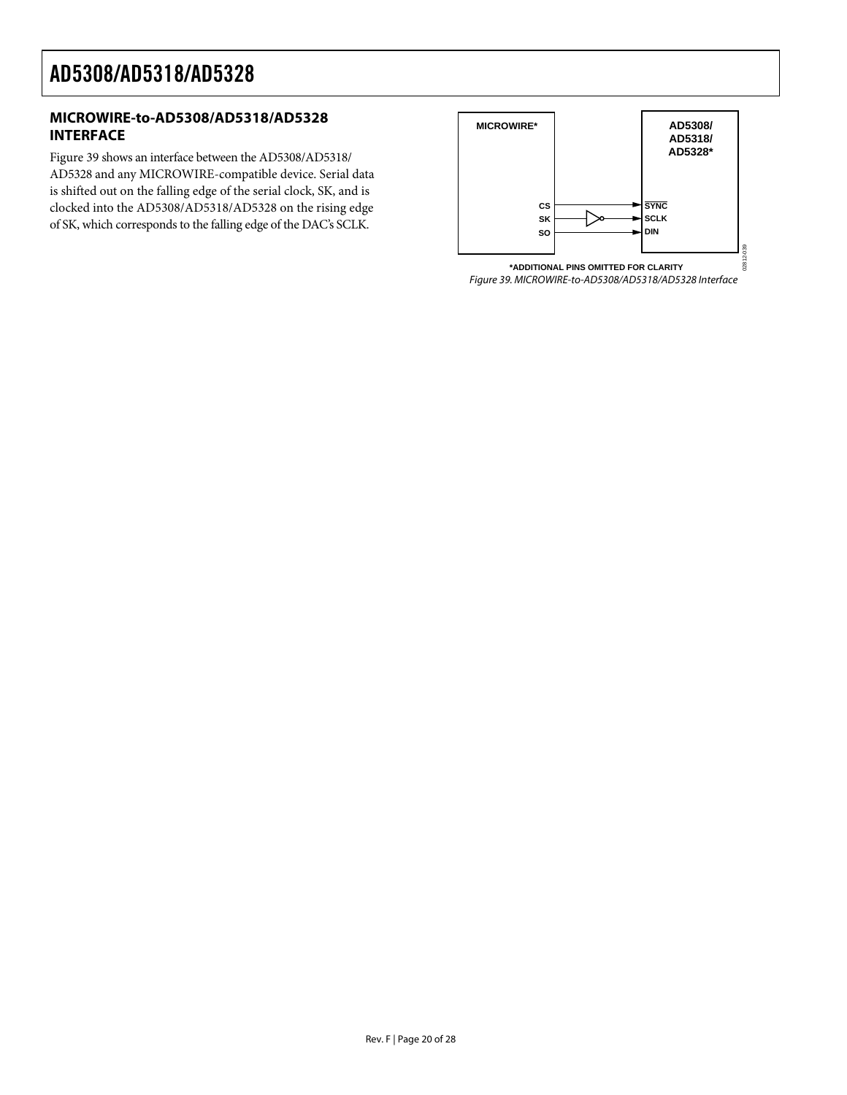#### <span id="page-19-0"></span>**MICROWIRE-to-AD5308/AD5318/AD5328 INTERFACE**

<span id="page-19-1"></span>[Figure 39](#page-19-1) shows an interface between the AD5308/AD5318/ AD5328 and any MICROWIRE-compatible device. Serial data is shifted out on the falling edge of the serial clock, SK, and is clocked into the AD5308/AD5318/AD5328 on the rising edge of SK, which corresponds to the falling edge of the DAC's SCLK.

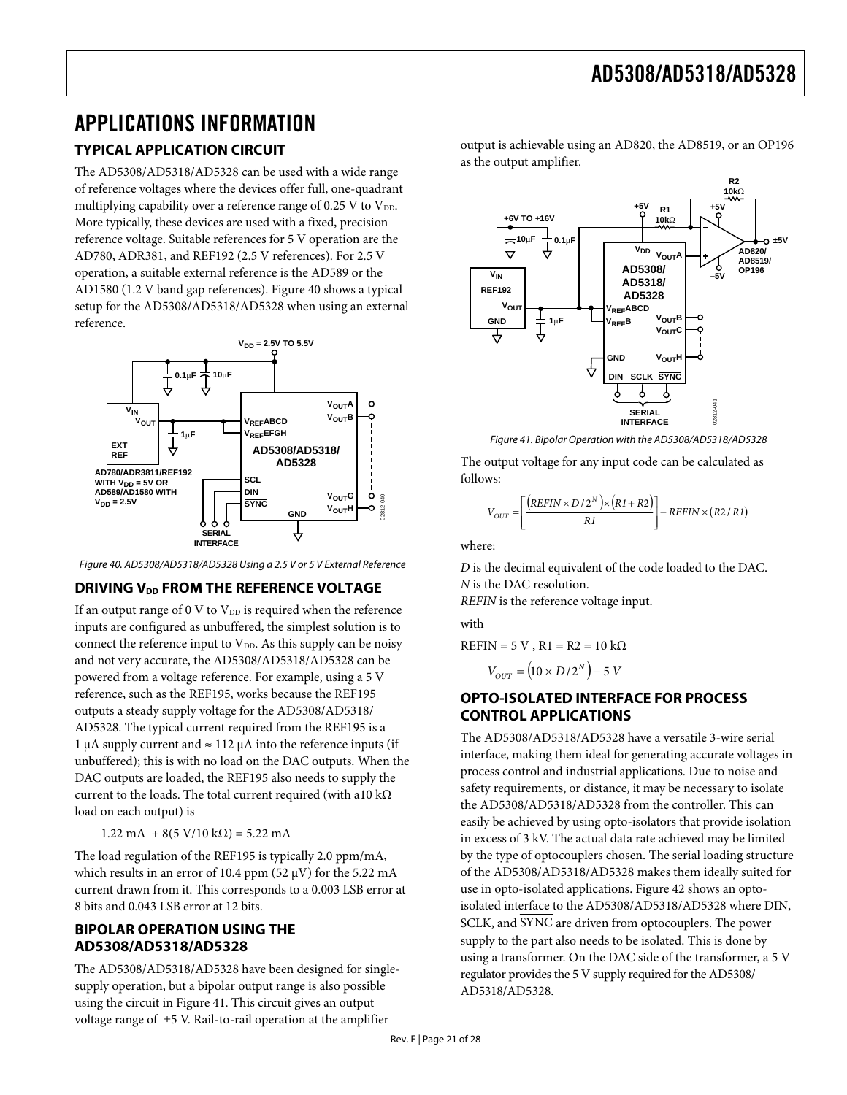### <span id="page-20-0"></span>APPLICATIONS INFORMATION

### **TYPICAL APPLICATION CIRCUIT**

The AD5308/AD5318/AD5328 can be used with a wide range of reference voltages where the devices offer full, one-quadrant multiplying capability over a reference range of 0.25 V to  $V_{DD}$ . More typically, these devices are used with a fixed, precision reference voltage. Suitable references for 5 V operation are the AD780, ADR381, and REF192 (2.5 V references). For 2.5 V operation, a suitable external reference is the AD589 or the AD1580 (1.2 V band gap references). [Figure 40](#page-20-1) shows a typical setup for the AD5308/AD5318/AD5328 when using an external reference.

<span id="page-20-2"></span>

Figure 40. AD5308/AD5318/AD5328 Using a 2.5 V or 5 V External Reference

#### <span id="page-20-1"></span>**DRIVING V<sub>DD</sub> FROM THE REFERENCE VOLTAGE**

If an output range of 0 V to  $V_{DD}$  is required when the reference inputs are configured as unbuffered, the simplest solution is to connect the reference input to V<sub>DD</sub>. As this supply can be noisy and not very accurate, the AD5308/AD5318/AD5328 can be powered from a voltage reference. For example, using a 5 V reference, such as the REF195, works because the REF195 outputs a steady supply voltage for the AD5308/AD5318/ AD5328. The typical current required from the REF195 is a 1 μA supply current and ≈ 112 μA into the reference inputs (if unbuffered); this is with no load on the DAC outputs. When the DAC outputs are loaded, the REF195 also needs to supply the current to the loads. The total current required (with a10 k $\Omega$ ) load on each output) is

1.22 mA +  $8(5 V/10 kΩ) = 5.22 mA$ 

The load regulation of the REF195 is typically 2.0 ppm/mA, which results in an error of 10.4 ppm (52  $\mu$ V) for the 5.22 mA current drawn from it. This corresponds to a 0.003 LSB error at 8 bits and 0.043 LSB error at 12 bits.

#### **BIPOLAR OPERATION USING THE AD5308/AD5318/AD5328**

The AD5308/AD5318/AD5328 have been designed for singlesupply operation, but a bipolar output range is also possible using the circuit in [Figure 41](#page-20-2). This circuit gives an output voltage range of ±5 V. Rail-to-rail operation at the amplifier

output is achievable using an AD820, the AD8519, or an OP196 as the output amplifier.



Figure 41. Bipolar Operation with the AD5308/AD5318/AD5328

The output voltage for any input code can be calculated as follows:

$$
V_{OUT} = \left[ \frac{\left(REFIN \times D/2^N\right) \times \left(R1 + R2\right)}{R1} \right] - REFIN \times \left(R2/R1\right)
$$

where:

*D* is the decimal equivalent of the code loaded to the DAC. *N* is the DAC resolution.

*REFIN* is the reference voltage input.

with

 $REFIN = 5 V$ ,  $R1 = R2 = 10 k\Omega$ 

 $V_{OUT} = (10 \times D/2^N) - 5 V$ 

#### **OPTO-ISOLATED INTERFACE FOR PROCESS CONTROL APPLICATIONS**

The AD5308/AD5318/AD5328 have a versatile 3-wire serial interface, making them ideal for generating accurate voltages in process control and industrial applications. Due to noise and safety requirements, or distance, it may be necessary to isolate the AD5308/AD5318/AD5328 from the controller. This can easily be achieved by using opto-isolators that provide isolation in excess of 3 kV. The actual data rate achieved may be limited by the type of optocouplers chosen. The serial loading structure of the AD5308/AD5318/AD5328 makes them ideally suited for use in opto-isolated applications. [Figure 42](#page-21-1) shows an optoisolated interface to the AD5308/AD5318/AD5328 where DIN, SCLK, and SYNC are driven from optocouplers. The power supply to the part also needs to be isolated. This is done by using a transformer. On the DAC side of the transformer, a 5 V regulator provides the 5 V supply required for the AD5308/ AD5318/AD5328.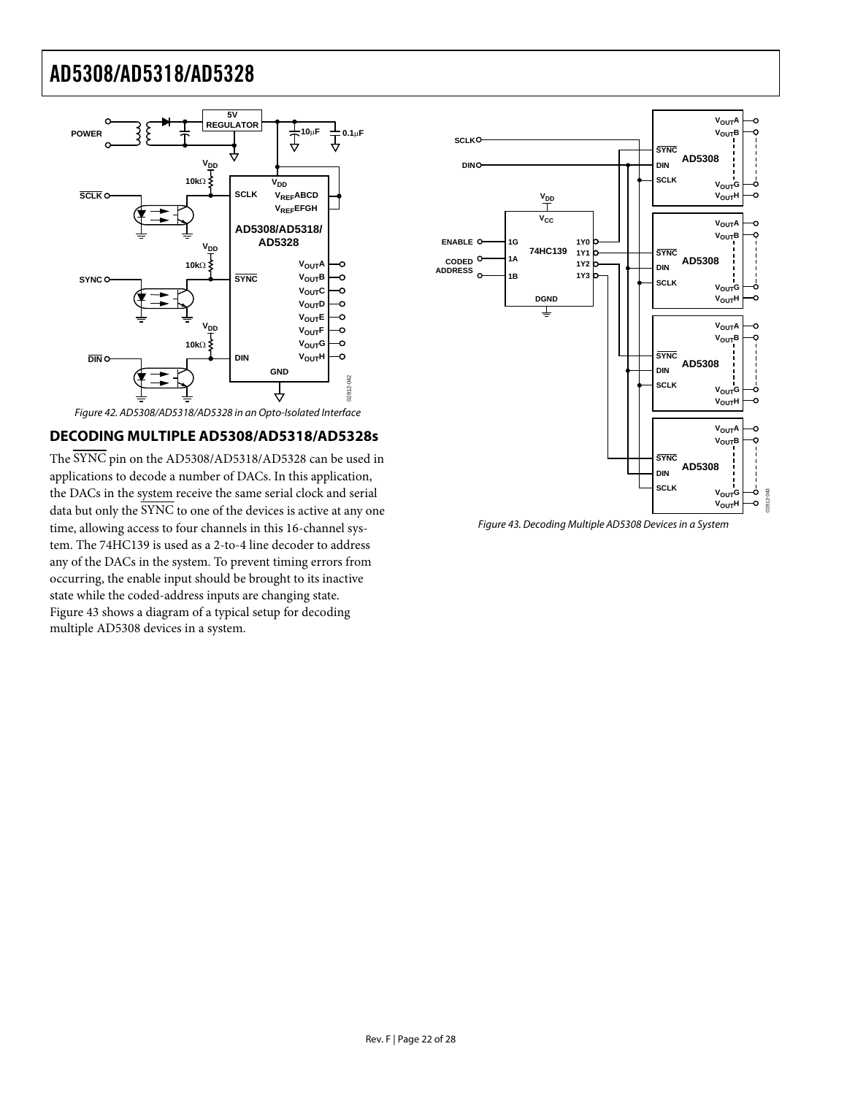<span id="page-21-0"></span>

#### <span id="page-21-1"></span>**DECODING MULTIPLE AD5308/AD5318/AD5328s**

<span id="page-21-2"></span>The SYNC pin on the AD5308/AD5318/AD5328 can be used in applications to decode a number of DACs. In this application, the DACs in the system receive the same serial clock and serial data but only the SYNC to one of the devices is active at any one time, allowing access to four channels in this 16-channel system. The 74HC139 is used as a 2-to-4 line decoder to address any of the DACs in the system. To prevent timing errors from occurring, the enable input should be brought to its inactive state while the coded-address inputs are changing state. [Figure 43](#page-21-2) shows a diagram of a typical setup for decoding multiple AD5308 devices in a system.



Figure 43. Decoding Multiple AD5308 Devices in a System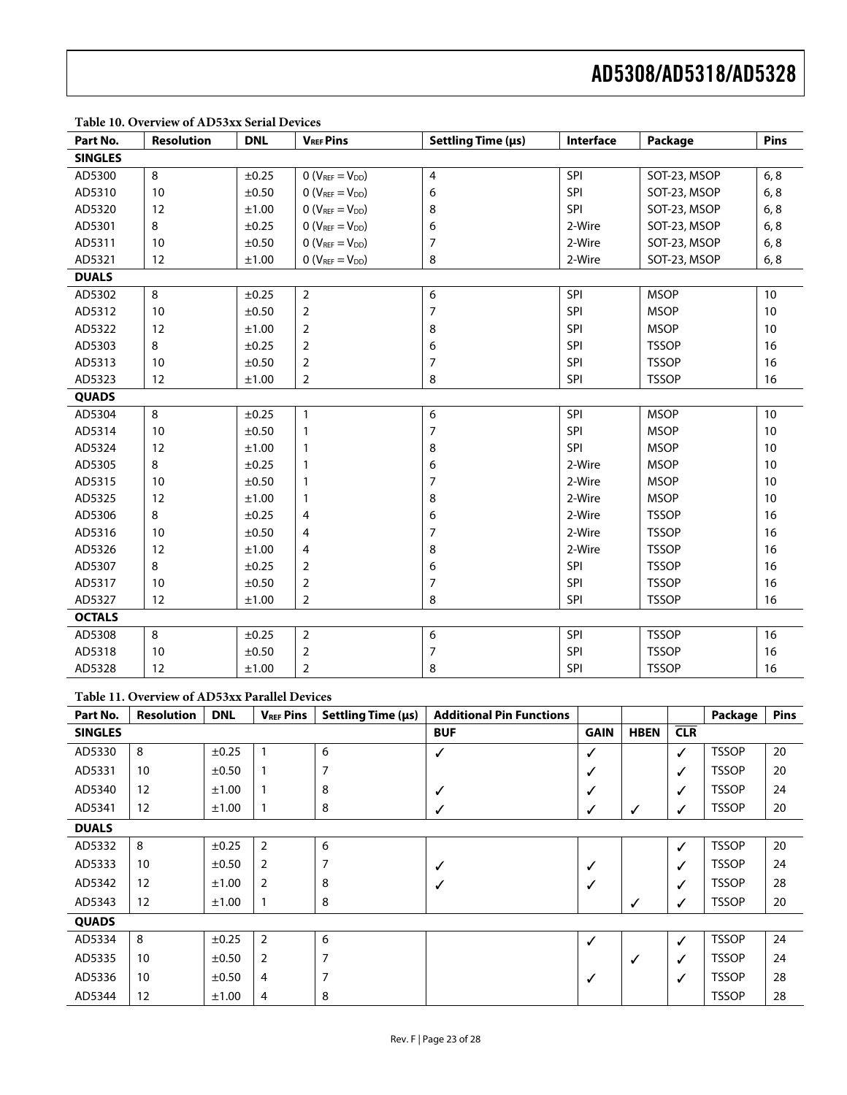| Part No.       | <b>Resolution</b> | <b>DNL</b> | <b>VREF Pins</b>    | Settling Time (µs)      | Interface  | Package      | Pins |
|----------------|-------------------|------------|---------------------|-------------------------|------------|--------------|------|
| <b>SINGLES</b> |                   |            |                     |                         |            |              |      |
| AD5300         | 8                 | $\pm 0.25$ | $O(V_{REF}=V_{DD})$ | $\overline{\mathbf{4}}$ | SPI        | SOT-23, MSOP | 6, 8 |
| AD5310         | 10                | ±0.50      | $O(V_{REF}=V_{DD})$ | 6                       | SPI        | SOT-23, MSOP | 6, 8 |
| AD5320         | 12                | ±1.00      | $O(V_{REF}=V_{DD})$ | 8                       | SPI        | SOT-23, MSOP | 6, 8 |
| AD5301         | 8                 | ±0.25      | $O(V_{REF}=V_{DD})$ | 6                       | 2-Wire     | SOT-23, MSOP | 6, 8 |
| AD5311         | 10                | ±0.50      | $O(V_{REF}=V_{DD})$ | $\overline{7}$          | 2-Wire     | SOT-23, MSOP | 6, 8 |
| AD5321         | 12                | ±1.00      | $O(V_{REF}=V_{DD})$ | 8                       | 2-Wire     | SOT-23, MSOP | 6, 8 |
| <b>DUALS</b>   |                   |            |                     |                         |            |              |      |
| AD5302         | $\,8\,$           | ±0.25      | $\overline{2}$      | $\boldsymbol{6}$        | SPI        | <b>MSOP</b>  | 10   |
| AD5312         | 10                | ±0.50      | $\overline{2}$      | $\overline{7}$          | SPI        | <b>MSOP</b>  | 10   |
| AD5322         | 12                | ±1.00      | 2                   | 8                       | <b>SPI</b> | <b>MSOP</b>  | 10   |
| AD5303         | 8                 | ±0.25      | 2                   | 6                       | SPI        | <b>TSSOP</b> | 16   |
| AD5313         | 10                | ±0.50      | $\overline{2}$      | $\overline{7}$          | SPI        | <b>TSSOP</b> | 16   |
| AD5323         | 12                | ±1.00      | $\overline{2}$      | 8                       | SPI        | <b>TSSOP</b> | 16   |
| <b>QUADS</b>   |                   |            |                     |                         |            |              |      |
| AD5304         | 8                 | ±0.25      | $\mathbf{1}$        | 6                       | SPI        | <b>MSOP</b>  | 10   |
| AD5314         | 10                | ±0.50      | 1                   | $\overline{7}$          | SPI        | <b>MSOP</b>  | 10   |
| AD5324         | 12                | ±1.00      | 1                   | 8                       | SPI        | <b>MSOP</b>  | 10   |
| AD5305         | 8                 | ±0.25      | 1                   | 6                       | 2-Wire     | <b>MSOP</b>  | 10   |
| AD5315         | 10                | $\pm 0.50$ | 1                   | $\overline{7}$          | 2-Wire     | <b>MSOP</b>  | 10   |
| AD5325         | 12                | ±1.00      | 1                   | 8                       | 2-Wire     | <b>MSOP</b>  | 10   |
| AD5306         | 8                 | ±0.25      | 4                   | 6                       | 2-Wire     | <b>TSSOP</b> | 16   |
| AD5316         | 10                | ±0.50      | 4                   | $\overline{7}$          | 2-Wire     | <b>TSSOP</b> | 16   |
| AD5326         | 12                | ±1.00      | 4                   | 8                       | 2-Wire     | <b>TSSOP</b> | 16   |
| AD5307         | 8                 | $\pm 0.25$ | 2                   | 6                       | <b>SPI</b> | <b>TSSOP</b> | 16   |
| AD5317         | 10                | ±0.50      | $\overline{2}$      | $\overline{7}$          | SPI        | <b>TSSOP</b> | 16   |
| AD5327         | 12                | ±1.00      | $\overline{2}$      | 8                       | <b>SPI</b> | <b>TSSOP</b> | 16   |
| <b>OCTALS</b>  |                   |            |                     |                         |            |              |      |
| AD5308         | 8                 | ±0.25      | $\overline{2}$      | 6                       | SPI        | <b>TSSOP</b> | 16   |
| AD5318         | 10                | $\pm 0.50$ | $\overline{2}$      | $\overline{7}$          | <b>SPI</b> | <b>TSSOP</b> | 16   |
| AD5328         | 12                | ±1.00      | $\overline{2}$      | 8                       | SPI        | <b>TSSOP</b> | 16   |

#### **Table 10. Overview of AD53xx Serial Devices**

#### **Table 11. Overview of AD53xx Parallel Devices**

| Part No.       | <b>Resolution</b> | <b>DNL</b> | <b>VREF Pins</b> | Settling Time (µs) | <b>Additional Pin Functions</b> |             |              |              | Package      | <b>Pins</b> |
|----------------|-------------------|------------|------------------|--------------------|---------------------------------|-------------|--------------|--------------|--------------|-------------|
| <b>SINGLES</b> |                   |            |                  |                    | <b>BUF</b>                      | <b>GAIN</b> | <b>HBEN</b>  | CLR          |              |             |
| AD5330         | 8                 | ±0.25      | 1                | 6                  | ✓                               | ✓           |              | $\checkmark$ | <b>TSSOP</b> | 20          |
| AD5331         | 10                | ±0.50      | 1                | 7                  |                                 | ✓           |              | ✓            | <b>TSSOP</b> | 20          |
| AD5340         | 12                | ±1.00      | 1                | 8                  | ✓                               |             |              | ✓            | <b>TSSOP</b> | 24          |
| AD5341         | 12                | ±1.00      | 1                | 8                  | ✓                               | ✓           | ✓            | ✓            | <b>TSSOP</b> | 20          |
| <b>DUALS</b>   |                   |            |                  |                    |                                 |             |              |              |              |             |
| AD5332         | 8                 | ±0.25      | $\overline{2}$   | 6                  |                                 |             |              | $\checkmark$ | <b>TSSOP</b> | 20          |
| AD5333         | 10                | ±0.50      | 2                | 7                  | ✓                               | ✓           |              | ✓            | <b>TSSOP</b> | 24          |
| AD5342         | 12                | ±1.00      | 2                | 8                  | ✓                               | ✓           |              | ✓            | <b>TSSOP</b> | 28          |
| AD5343         | 12                | ±1.00      | 1                | 8                  |                                 |             | $\checkmark$ | ✓            | <b>TSSOP</b> | 20          |
| <b>QUADS</b>   |                   |            |                  |                    |                                 |             |              |              |              |             |
| AD5334         | 8                 | ±0.25      | $\overline{2}$   | 6                  |                                 | ✓           |              | $\checkmark$ | <b>TSSOP</b> | 24          |
| AD5335         | 10                | ±0.50      | 2                | 7                  |                                 |             | ✓            | ✓            | <b>TSSOP</b> | 24          |
| AD5336         | 10                | ±0.50      | 4                | 7                  |                                 | ✓           |              | $\checkmark$ | <b>TSSOP</b> | 28          |
| AD5344         | 12                | ±1.00      | 4                | 8                  |                                 |             |              |              | <b>TSSOP</b> | 28          |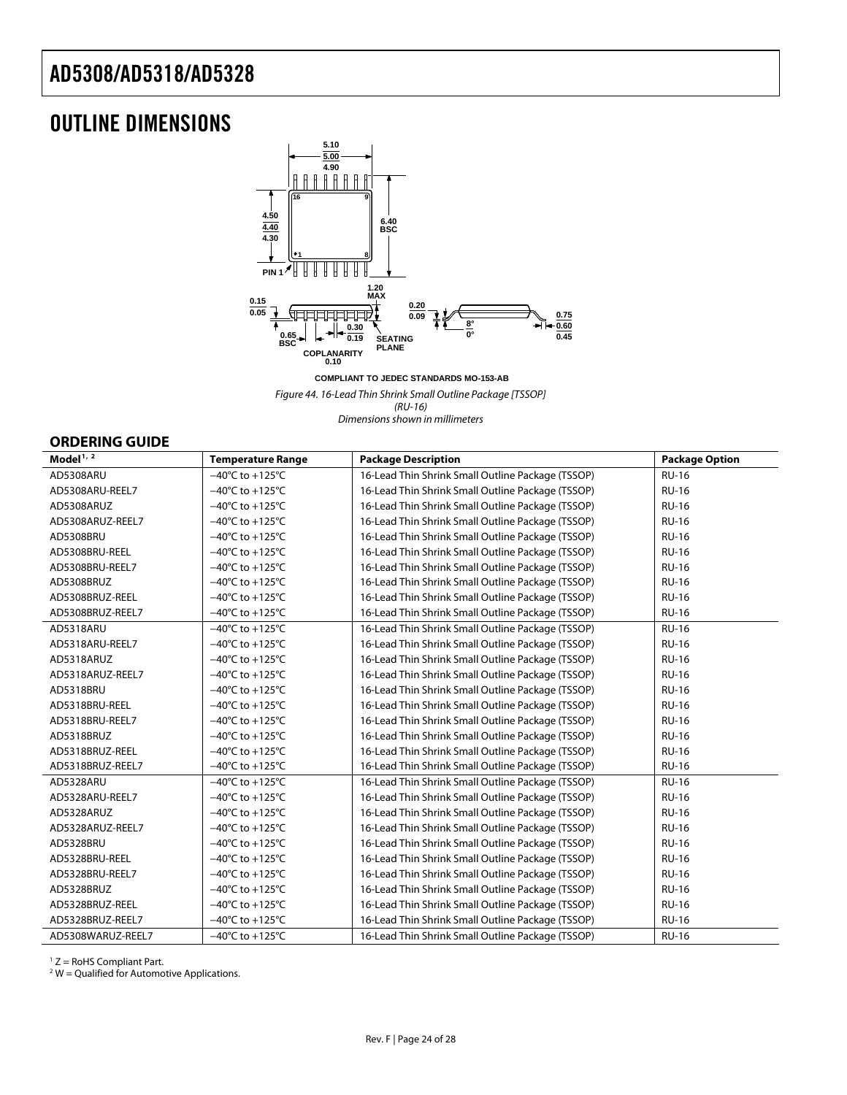### <span id="page-23-0"></span>OUTLINE DIMENSIONS



**COMPLIANT TO JEDEC STANDARDS MO-153-AB**

Figure 44. 16-Lead Thin Shrink Small Outline Package [TSSOP] (RU-16)

Dimensions shown in millimeters

#### **ORDERING GUIDE**

| Model <sup>1, <math>2</math></sup> | <b>Temperature Range</b>             | <b>Package Description</b>                        | <b>Package Option</b> |
|------------------------------------|--------------------------------------|---------------------------------------------------|-----------------------|
| AD5308ARU                          | $-40^{\circ}$ C to $+125^{\circ}$ C  | 16-Lead Thin Shrink Small Outline Package (TSSOP) | <b>RU-16</b>          |
| AD5308ARU-REEL7                    | $-40^{\circ}$ C to $+125^{\circ}$ C  | 16-Lead Thin Shrink Small Outline Package (TSSOP) | <b>RU-16</b>          |
| AD5308ARUZ                         | $-40^{\circ}$ C to $+125^{\circ}$ C  | 16-Lead Thin Shrink Small Outline Package (TSSOP) | <b>RU-16</b>          |
| AD5308ARUZ-REEL7                   | $-40^{\circ}$ C to +125 $^{\circ}$ C | 16-Lead Thin Shrink Small Outline Package (TSSOP) | <b>RU-16</b>          |
| AD5308BRU                          | $-40^{\circ}$ C to $+125^{\circ}$ C  | 16-Lead Thin Shrink Small Outline Package (TSSOP) | <b>RU-16</b>          |
| AD5308BRU-REEL                     | $-40^{\circ}$ C to $+125^{\circ}$ C  | 16-Lead Thin Shrink Small Outline Package (TSSOP) | <b>RU-16</b>          |
| AD5308BRU-REEL7                    | $-40^{\circ}$ C to $+125^{\circ}$ C  | 16-Lead Thin Shrink Small Outline Package (TSSOP) | <b>RU-16</b>          |
| AD5308BRUZ                         | $-40^{\circ}$ C to $+125^{\circ}$ C  | 16-Lead Thin Shrink Small Outline Package (TSSOP) | <b>RU-16</b>          |
| AD5308BRUZ-REEL                    | $-40^{\circ}$ C to $+125^{\circ}$ C  | 16-Lead Thin Shrink Small Outline Package (TSSOP) | <b>RU-16</b>          |
| AD5308BRUZ-REEL7                   | $-40^{\circ}$ C to $+125^{\circ}$ C  | 16-Lead Thin Shrink Small Outline Package (TSSOP) | <b>RU-16</b>          |
| AD5318ARU                          | $-40^{\circ}$ C to $+125^{\circ}$ C  | 16-Lead Thin Shrink Small Outline Package (TSSOP) | <b>RU-16</b>          |
| AD5318ARU-REEL7                    | $-40^{\circ}$ C to $+125^{\circ}$ C  | 16-Lead Thin Shrink Small Outline Package (TSSOP) | <b>RU-16</b>          |
| AD5318ARUZ                         | $-40^{\circ}$ C to $+125^{\circ}$ C  | 16-Lead Thin Shrink Small Outline Package (TSSOP) | <b>RU-16</b>          |
| AD5318ARUZ-REEL7                   | $-40^{\circ}$ C to +125 $^{\circ}$ C | 16-Lead Thin Shrink Small Outline Package (TSSOP) | <b>RU-16</b>          |
| AD5318BRU                          | $-40^{\circ}$ C to $+125^{\circ}$ C  | 16-Lead Thin Shrink Small Outline Package (TSSOP) | <b>RU-16</b>          |
| AD5318BRU-REEL                     | $-40^{\circ}$ C to $+125^{\circ}$ C  | 16-Lead Thin Shrink Small Outline Package (TSSOP) | <b>RU-16</b>          |
| AD5318BRU-REEL7                    | $-40^{\circ}$ C to $+125^{\circ}$ C  | 16-Lead Thin Shrink Small Outline Package (TSSOP) | <b>RU-16</b>          |
| AD5318BRUZ                         | $-40^{\circ}$ C to $+125^{\circ}$ C  | 16-Lead Thin Shrink Small Outline Package (TSSOP) | <b>RU-16</b>          |
| AD5318BRUZ-REEL                    | $-40^{\circ}$ C to $+125^{\circ}$ C  | 16-Lead Thin Shrink Small Outline Package (TSSOP) | <b>RU-16</b>          |
| AD5318BRUZ-REEL7                   | $-40^{\circ}$ C to +125 $^{\circ}$ C | 16-Lead Thin Shrink Small Outline Package (TSSOP) | <b>RU-16</b>          |
| AD5328ARU                          | $-40^{\circ}$ C to $+125^{\circ}$ C  | 16-Lead Thin Shrink Small Outline Package (TSSOP) | <b>RU-16</b>          |
| AD5328ARU-REEL7                    | $-40^{\circ}$ C to $+125^{\circ}$ C  | 16-Lead Thin Shrink Small Outline Package (TSSOP) | <b>RU-16</b>          |
| AD5328ARUZ                         | $-40^{\circ}$ C to $+125^{\circ}$ C  | 16-Lead Thin Shrink Small Outline Package (TSSOP) | <b>RU-16</b>          |
| AD5328ARUZ-REEL7                   | $-40^{\circ}$ C to $+125^{\circ}$ C  | 16-Lead Thin Shrink Small Outline Package (TSSOP) | <b>RU-16</b>          |
| AD5328BRU                          | $-40^{\circ}$ C to $+125^{\circ}$ C  | 16-Lead Thin Shrink Small Outline Package (TSSOP) | <b>RU-16</b>          |
| AD5328BRU-REEL                     | $-40^{\circ}$ C to +125 $^{\circ}$ C | 16-Lead Thin Shrink Small Outline Package (TSSOP) | <b>RU-16</b>          |
| AD5328BRU-REEL7                    | $-40^{\circ}$ C to +125 $^{\circ}$ C | 16-Lead Thin Shrink Small Outline Package (TSSOP) | <b>RU-16</b>          |
| AD5328BRUZ                         | $-40^{\circ}$ C to $+125^{\circ}$ C  | 16-Lead Thin Shrink Small Outline Package (TSSOP) | <b>RU-16</b>          |
| AD5328BRUZ-REEL                    | $-40^{\circ}$ C to $+125^{\circ}$ C  | 16-Lead Thin Shrink Small Outline Package (TSSOP) | <b>RU-16</b>          |
| AD5328BRUZ-REEL7                   | $-40^{\circ}$ C to +125 $^{\circ}$ C | 16-Lead Thin Shrink Small Outline Package (TSSOP) | <b>RU-16</b>          |
| AD5308WARUZ-REEL7                  | $-40^{\circ}$ C to $+125^{\circ}$ C  | 16-Lead Thin Shrink Small Outline Package (TSSOP) | <b>RU-16</b>          |

 $1 Z =$  RoHS Compliant Part.

 $2$  W = Qualified for Automotive Applications.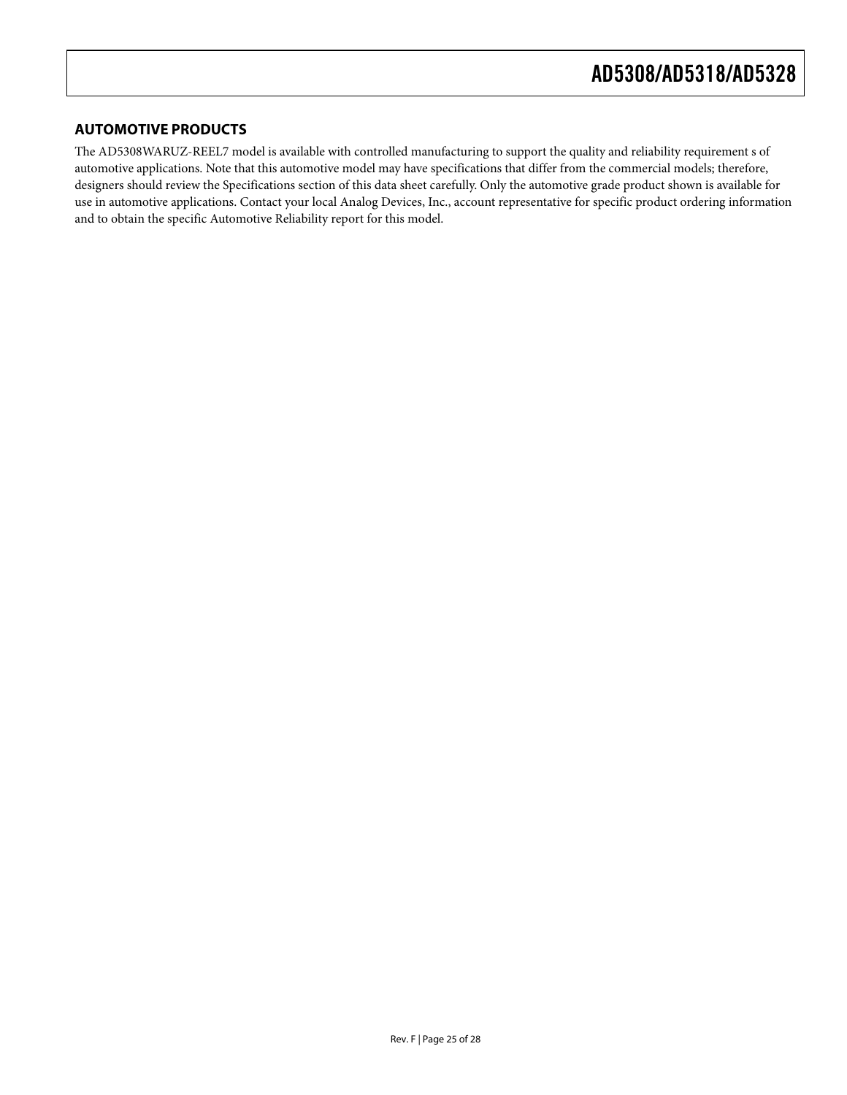#### **AUTOMOTIVE PRODUCTS**

The AD5308WARUZ-REEL7 model is available with controlled manufacturing to support the quality and reliability requirement s of automotive applications. Note that this automotive model may have specifications that differ from the commercial models; therefore, designers should review the Specifications section of this data sheet carefully. Only the automotive grade product shown is available for use in automotive applications. Contact your local Analog Devices, Inc., account representative for specific product ordering information and to obtain the specific Automotive Reliability report for this model.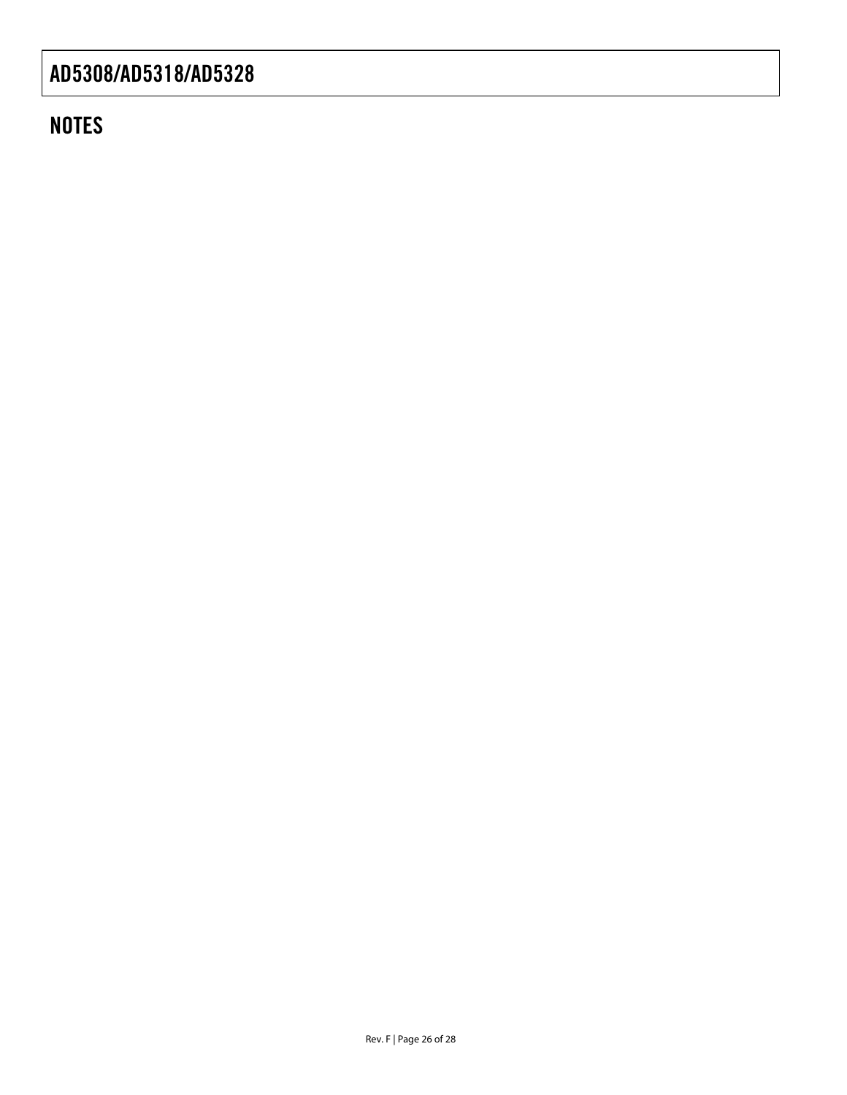### **NOTES**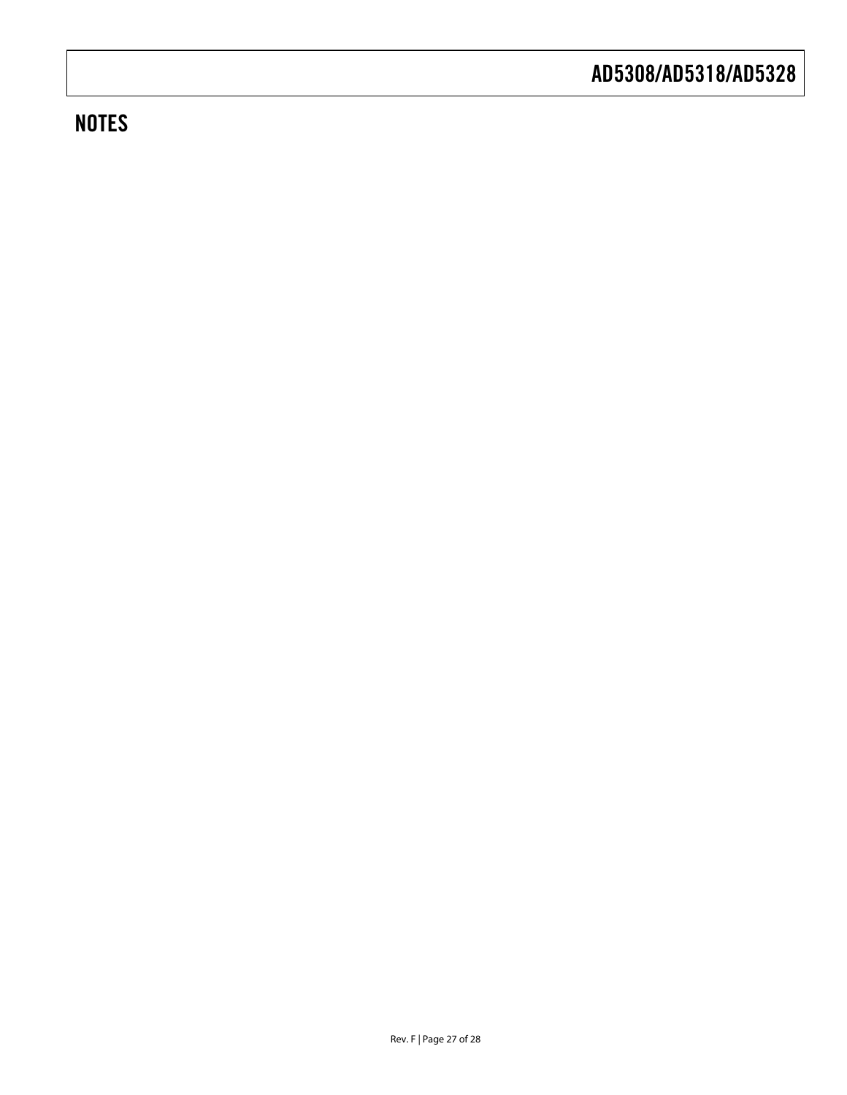### **NOTES**